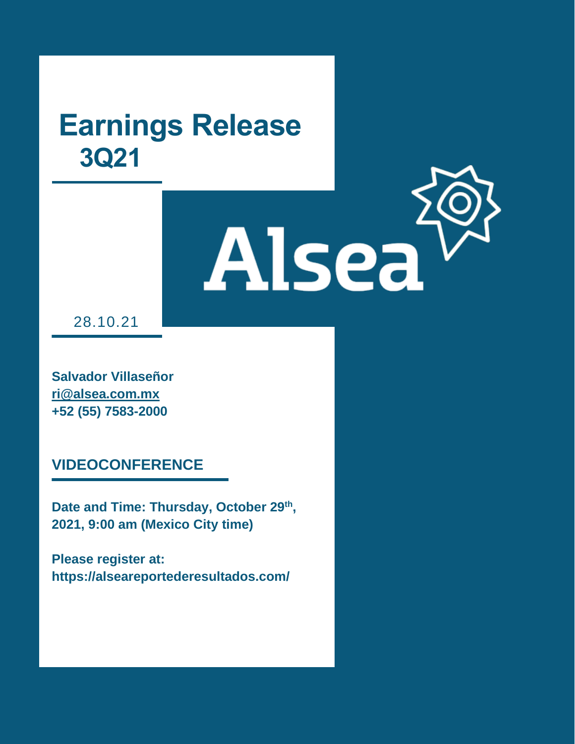Alsea

28.10.21

*Informe Trimestral 2T20*

**Salvador Villaseñor ri@alsea.com.mx +52 (55) 7583-2000**

**VIDEOCONFERENCE**

**Date and Time: Thursday, October 29th , 2021, 9:00 am (Mexico City time)**

**Please register at: https://alseareportederesultados.com/**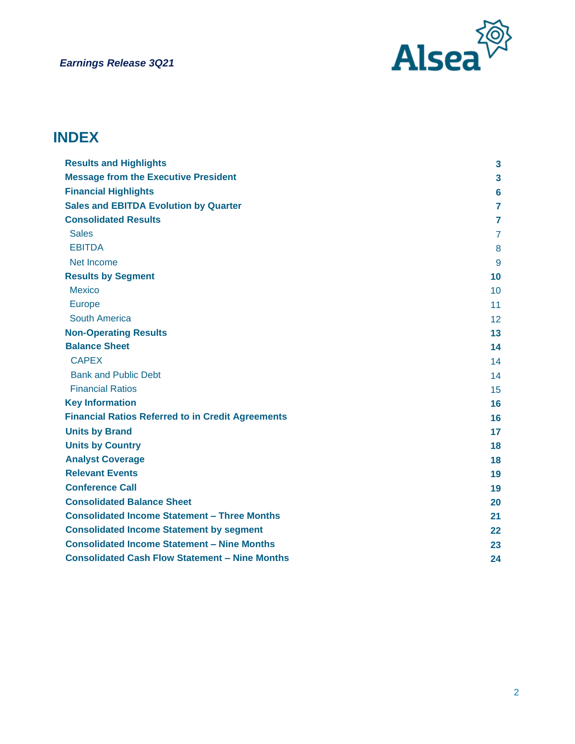

# **INDEX**

| <b>Results and Highlights</b>                            | 3              |
|----------------------------------------------------------|----------------|
| <b>Message from the Executive President</b>              | 3              |
| <b>Financial Highlights</b>                              | 6              |
| <b>Sales and EBITDA Evolution by Quarter</b>             | 7              |
| <b>Consolidated Results</b>                              | 7              |
| <b>Sales</b>                                             | $\overline{7}$ |
| <b>EBITDA</b>                                            | 8              |
| Net Income                                               | 9              |
| <b>Results by Segment</b>                                | 10             |
| <b>Mexico</b>                                            | 10             |
| <b>Europe</b>                                            | 11             |
| <b>South America</b>                                     | 12             |
| <b>Non-Operating Results</b>                             | 13             |
| <b>Balance Sheet</b>                                     | 14             |
| <b>CAPEX</b>                                             | 14             |
| <b>Bank and Public Debt</b>                              | 14             |
| <b>Financial Ratios</b>                                  | 15             |
| <b>Key Information</b>                                   | 16             |
| <b>Financial Ratios Referred to in Credit Agreements</b> | 16             |
| <b>Units by Brand</b>                                    | 17             |
| <b>Units by Country</b>                                  | 18             |
| <b>Analyst Coverage</b>                                  | 18             |
| <b>Relevant Events</b>                                   | 19             |
| <b>Conference Call</b>                                   | 19             |
| <b>Consolidated Balance Sheet</b>                        | 20             |
| <b>Consolidated Income Statement - Three Months</b>      | 21             |
| <b>Consolidated Income Statement by segment</b>          | $22 \,$        |
| <b>Consolidated Income Statement - Nine Months</b>       | 23             |
| <b>Consolidated Cash Flow Statement - Nine Months</b>    | 24             |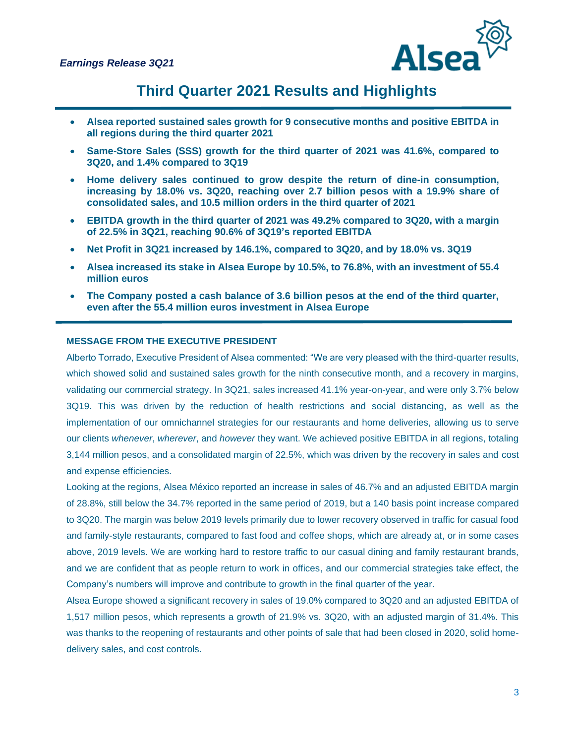

# **Third Quarter 2021 Results and Highlights**

- **Alsea reported sustained sales growth for 9 consecutive months and positive EBITDA in all regions during the third quarter 2021**
- **Same-Store Sales (SSS) growth for the third quarter of 2021 was 41.6%, compared to 3Q20, and 1.4% compared to 3Q19**
- **Home delivery sales continued to grow despite the return of dine-in consumption, increasing by 18.0% vs. 3Q20, reaching over 2.7 billion pesos with a 19.9% share of consolidated sales, and 10.5 million orders in the third quarter of 2021**
- **EBITDA growth in the third quarter of 2021 was 49.2% compared to 3Q20, with a margin of 22.5% in 3Q21, reaching 90.6% of 3Q19's reported EBITDA**
- **Net Profit in 3Q21 increased by 146.1%, compared to 3Q20, and by 18.0% vs. 3Q19**
- **Alsea increased its stake in Alsea Europe by 10.5%, to 76.8%, with an investment of 55.4 million euros**
- **The Company posted a cash balance of 3.6 billion pesos at the end of the third quarter, even after the 55.4 million euros investment in Alsea Europe**

#### **MESSAGE FROM THE EXECUTIVE PRESIDENT**

Alberto Torrado, Executive President of Alsea commented: "We are very pleased with the third-quarter results, which showed solid and sustained sales growth for the ninth consecutive month, and a recovery in margins, validating our commercial strategy. In 3Q21, sales increased 41.1% year-on-year, and were only 3.7% below 3Q19. This was driven by the reduction of health restrictions and social distancing, as well as the implementation of our omnichannel strategies for our restaurants and home deliveries, allowing us to serve our clients *whenever*, *wherever*, and *however* they want. We achieved positive EBITDA in all regions, totaling 3,144 million pesos, and a consolidated margin of 22.5%, which was driven by the recovery in sales and cost and expense efficiencies.

Looking at the regions, Alsea México reported an increase in sales of 46.7% and an adjusted EBITDA margin of 28.8%, still below the 34.7% reported in the same period of 2019, but a 140 basis point increase compared to 3Q20. The margin was below 2019 levels primarily due to lower recovery observed in traffic for casual food and family-style restaurants, compared to fast food and coffee shops, which are already at, or in some cases above, 2019 levels. We are working hard to restore traffic to our casual dining and family restaurant brands, and we are confident that as people return to work in offices, and our commercial strategies take effect, the Company's numbers will improve and contribute to growth in the final quarter of the year.

Alsea Europe showed a significant recovery in sales of 19.0% compared to 3Q20 and an adjusted EBITDA of 1,517 million pesos, which represents a growth of 21.9% vs. 3Q20, with an adjusted margin of 31.4%. This was thanks to the reopening of restaurants and other points of sale that had been closed in 2020, solid homedelivery sales, and cost controls.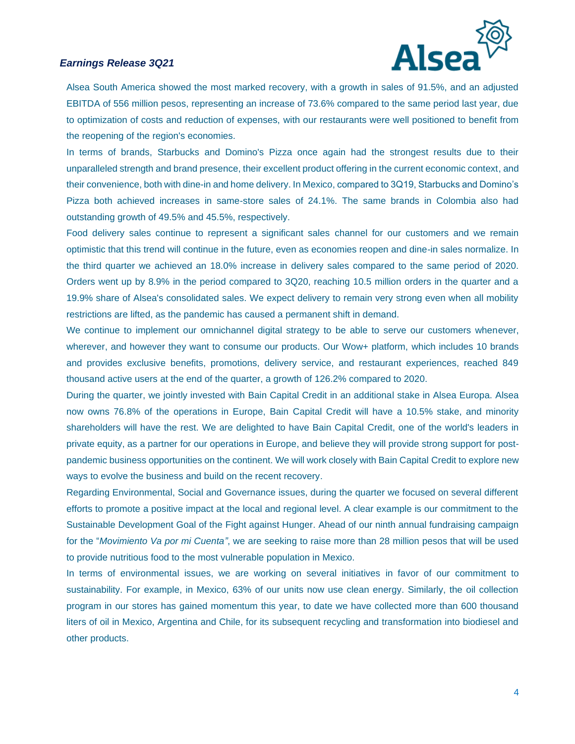

Alsea South America showed the most marked recovery, with a growth in sales of 91.5%, and an adjusted EBITDA of 556 million pesos, representing an increase of 73.6% compared to the same period last year, due to optimization of costs and reduction of expenses, with our restaurants were well positioned to benefit from the reopening of the region's economies.

In terms of brands, Starbucks and Domino's Pizza once again had the strongest results due to their unparalleled strength and brand presence, their excellent product offering in the current economic context, and their convenience, both with dine-in and home delivery. In Mexico, compared to 3Q19, Starbucks and Domino's Pizza both achieved increases in same-store sales of 24.1%. The same brands in Colombia also had outstanding growth of 49.5% and 45.5%, respectively.

Food delivery sales continue to represent a significant sales channel for our customers and we remain optimistic that this trend will continue in the future, even as economies reopen and dine-in sales normalize. In the third quarter we achieved an 18.0% increase in delivery sales compared to the same period of 2020. Orders went up by 8.9% in the period compared to 3Q20, reaching 10.5 million orders in the quarter and a 19.9% share of Alsea's consolidated sales. We expect delivery to remain very strong even when all mobility restrictions are lifted, as the pandemic has caused a permanent shift in demand.

We continue to implement our omnichannel digital strategy to be able to serve our customers whenever, wherever, and however they want to consume our products. Our Wow+ platform, which includes 10 brands and provides exclusive benefits, promotions, delivery service, and restaurant experiences, reached 849 thousand active users at the end of the quarter, a growth of 126.2% compared to 2020.

During the quarter, we jointly invested with Bain Capital Credit in an additional stake in Alsea Europa. Alsea now owns 76.8% of the operations in Europe, Bain Capital Credit will have a 10.5% stake, and minority shareholders will have the rest. We are delighted to have Bain Capital Credit, one of the world's leaders in private equity, as a partner for our operations in Europe, and believe they will provide strong support for postpandemic business opportunities on the continent. We will work closely with Bain Capital Credit to explore new ways to evolve the business and build on the recent recovery.

Regarding Environmental, Social and Governance issues, during the quarter we focused on several different efforts to promote a positive impact at the local and regional level. A clear example is our commitment to the Sustainable Development Goal of the Fight against Hunger. Ahead of our ninth annual fundraising campaign for the "*Movimiento Va por mi Cuenta"*, we are seeking to raise more than 28 million pesos that will be used to provide nutritious food to the most vulnerable population in Mexico.

In terms of environmental issues, we are working on several initiatives in favor of our commitment to sustainability. For example, in Mexico, 63% of our units now use clean energy. Similarly, the oil collection program in our stores has gained momentum this year, to date we have collected more than 600 thousand liters of oil in Mexico, Argentina and Chile, for its subsequent recycling and transformation into biodiesel and other products.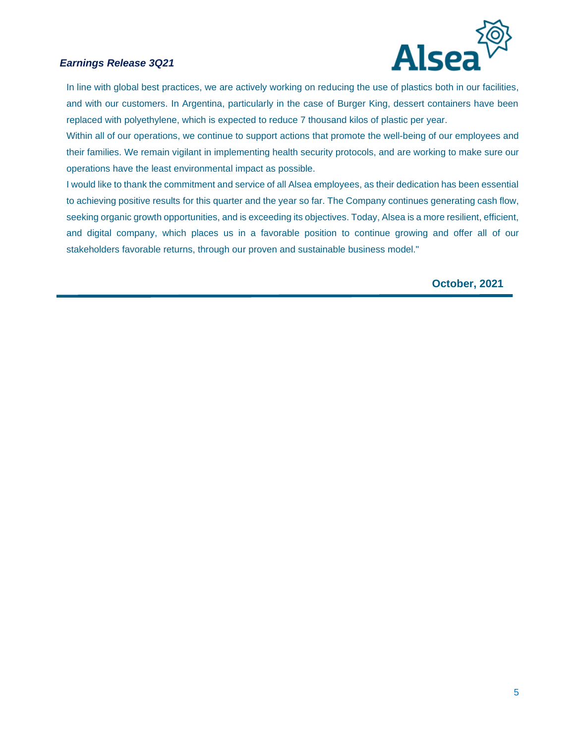

In line with global best practices, we are actively working on reducing the use of plastics both in our facilities, and with our customers. In Argentina, particularly in the case of Burger King, dessert containers have been replaced with polyethylene, which is expected to reduce 7 thousand kilos of plastic per year.

Within all of our operations, we continue to support actions that promote the well-being of our employees and their families. We remain vigilant in implementing health security protocols, and are working to make sure our operations have the least environmental impact as possible.

I would like to thank the commitment and service of all Alsea employees, as their dedication has been essential to achieving positive results for this quarter and the year so far. The Company continues generating cash flow, seeking organic growth opportunities, and is exceeding its objectives. Today, Alsea is a more resilient, efficient, and digital company, which places us in a favorable position to continue growing and offer all of our stakeholders favorable returns, through our proven and sustainable business model."

**October, 2021**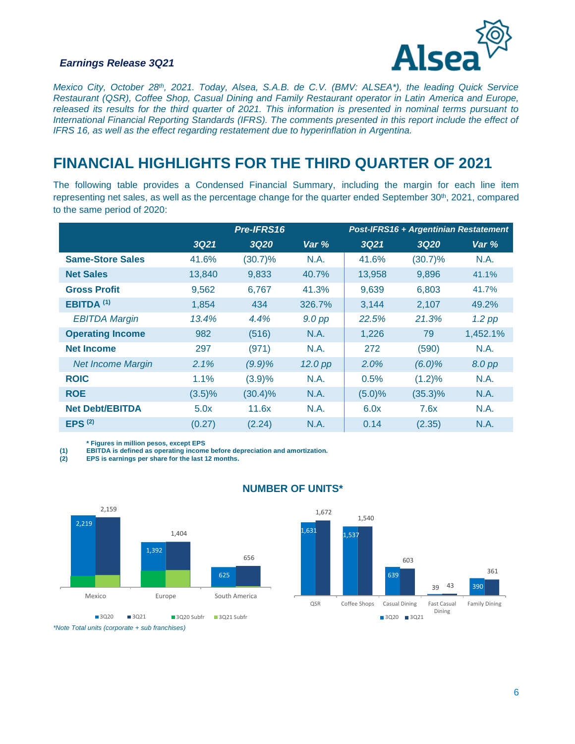

*Mexico City, October 28th, 2021. Today, Alsea, S.A.B. de C.V. (BMV: ALSEA\*), the leading Quick Service Restaurant (QSR), Coffee Shop, Casual Dining and Family Restaurant operator in Latin America and Europe, released its results for the third quarter of 2021. This information is presented in nominal terms pursuant to International Financial Reporting Standards (IFRS). The comments presented in this report include the effect of IFRS 16, as well as the effect regarding restatement due to hyperinflation in Argentina.* 

# **FINANCIAL HIGHLIGHTS FOR THE THIRD QUARTER OF 2021**

The following table provides a Condensed Financial Summary, including the margin for each line item representing net sales, as well as the percentage change for the quarter ended September 30<sup>th</sup>, 2021, compared to the same period of 2020:

|                          |             | Pre-IFRS16  |          |             | Post-IFRS16 + Argentinian Restatement |          |
|--------------------------|-------------|-------------|----------|-------------|---------------------------------------|----------|
|                          | <b>3Q21</b> | <b>3Q20</b> | Var %    | <b>3Q21</b> | 3020                                  | Var %    |
| <b>Same-Store Sales</b>  | 41.6%       | $(30.7)\%$  | N.A.     | 41.6%       | $(30.7)\%$                            | N.A.     |
| <b>Net Sales</b>         | 13,840      | 9,833       | 40.7%    | 13,958      | 9,896                                 | 41.1%    |
| <b>Gross Profit</b>      | 9.562       | 6.767       | 41.3%    | 9,639       | 6,803                                 | 41.7%    |
| EBITDA <sup>(1)</sup>    | 1,854       | 434         | 326.7%   | 3,144       | 2,107                                 | 49.2%    |
| <b>EBITDA Margin</b>     | 13.4%       | 4.4%        | $9.0$ pp | 22.5%       | 21.3%                                 | $1.2$ pp |
| <b>Operating Income</b>  | 982         | (516)       | N.A.     | 1,226       | 79                                    | 1,452.1% |
| <b>Net Income</b>        | 297         | (971)       | N.A.     | 272         | (590)                                 | N.A.     |
| <b>Net Income Margin</b> | 2.1%        | (9.9)%      | 12.0 pp  | 2.0%        | $(6.0)\%$                             | 8.0 pp   |
| <b>ROIC</b>              | 1.1%        | (3.9)%      | N.A.     | 0.5%        | $(1.2)\%$                             | N.A.     |
| <b>ROE</b>               | $(3.5)\%$   | $(30.4)\%$  | N.A.     | (5.0)%      | $(35.3)\%$                            | N.A.     |
| <b>Net Debt/EBITDA</b>   | 5.0x        | 11.6x       | N.A.     | 6.0x        | 7.6x                                  | N.A.     |
| EPS <sup>(2)</sup>       | (0.27)      | (2.24)      | N.A.     | 0.14        | (2.35)                                | N.A.     |

**\* Figures in million pesos, except EPS**

**(1) EBITDA is defined as operating income before depreciation and amortization.** 

**(2) EPS is earnings per share for the last 12 months.** 



#### **NUMBER OF UNITS\***



*\*Note Total units (corporate + sub franchises)*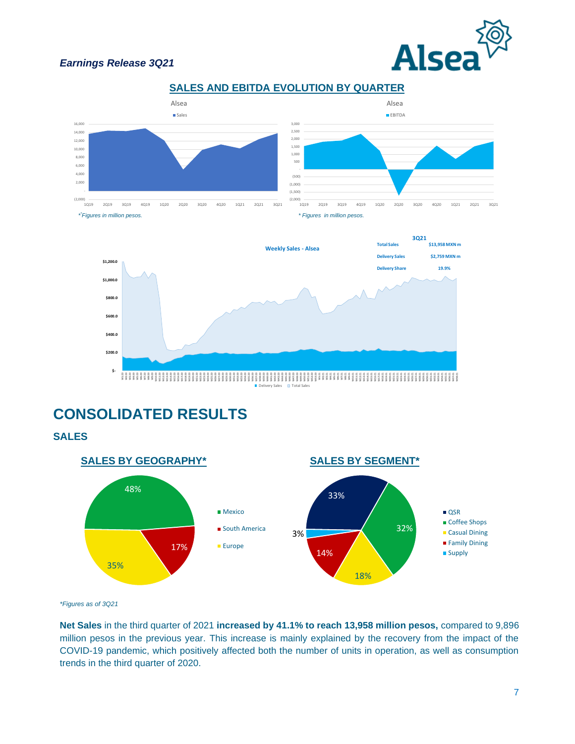







# **CONSOLIDATED RESULTS**

**SALES**



*\*Figures as of 3Q21*

**Net Sales** in the third quarter of 2021 **increased by 41.1% to reach 13,958 million pesos,** compared to 9,896 million pesos in the previous year. This increase is mainly explained by the recovery from the impact of the COVID-19 pandemic, which positively affected both the number of units in operation, as well as consumption trends in the third quarter of 2020.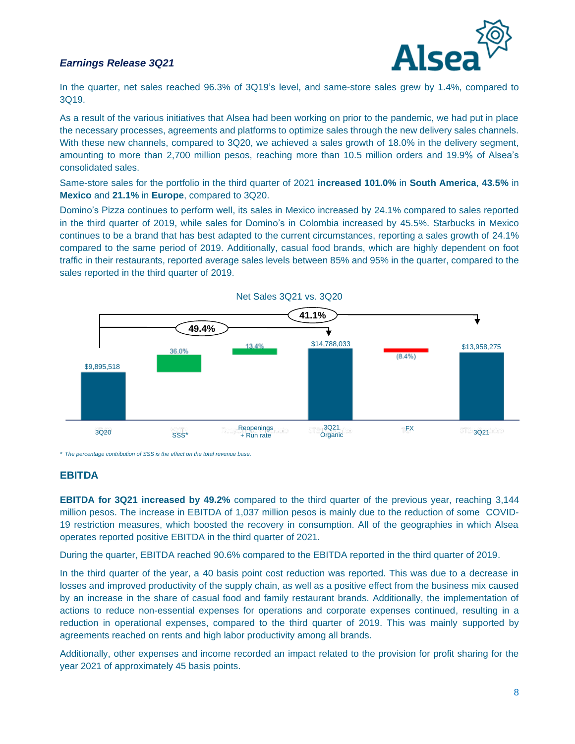

In the quarter, net sales reached 96.3% of 3Q19's level, and same-store sales grew by 1.4%, compared to 3Q19.

As a result of the various initiatives that Alsea had been working on prior to the pandemic, we had put in place the necessary processes, agreements and platforms to optimize sales through the new delivery sales channels. With these new channels, compared to 3Q20, we achieved a sales growth of 18.0% in the delivery segment, amounting to more than 2,700 million pesos, reaching more than 10.5 million orders and 19.9% of Alsea's consolidated sales.

Same-store sales for the portfolio in the third quarter of 2021 **increased 101.0%** in **South America**, **43.5%** in **Mexico** and **21.1%** in **Europe**, compared to 3Q20.

Domino's Pizza continues to perform well, its sales in Mexico increased by 24.1% compared to sales reported in the third quarter of 2019, while sales for Domino's in Colombia increased by 45.5%. Starbucks in Mexico continues to be a brand that has best adapted to the current circumstances, reporting a sales growth of 24.1% compared to the same period of 2019. Additionally, casual food brands, which are highly dependent on foot traffic in their restaurants, reported average sales levels between 85% and 95% in the quarter, compared to the sales reported in the third quarter of 2019.



*\* The percentage contribution of SSS is the effect on the total revenue base.*

#### **EBITDA**

**EBITDA for 3Q21 increased by 49.2%** compared to the third quarter of the previous year, reaching 3,144 million pesos. The increase in EBITDA of 1,037 million pesos is mainly due to the reduction of some COVID-19 restriction measures, which boosted the recovery in consumption. All of the geographies in which Alsea operates reported positive EBITDA in the third quarter of 2021.

During the quarter, EBITDA reached 90.6% compared to the EBITDA reported in the third quarter of 2019.

In the third quarter of the year, a 40 basis point cost reduction was reported. This was due to a decrease in losses and improved productivity of the supply chain, as well as a positive effect from the business mix caused by an increase in the share of casual food and family restaurant brands. Additionally, the implementation of actions to reduce non-essential expenses for operations and corporate expenses continued, resulting in a reduction in operational expenses, compared to the third quarter of 2019. This was mainly supported by agreements reached on rents and high labor productivity among all brands.

Additionally, other expenses and income recorded an impact related to the provision for profit sharing for the year 2021 of approximately 45 basis points.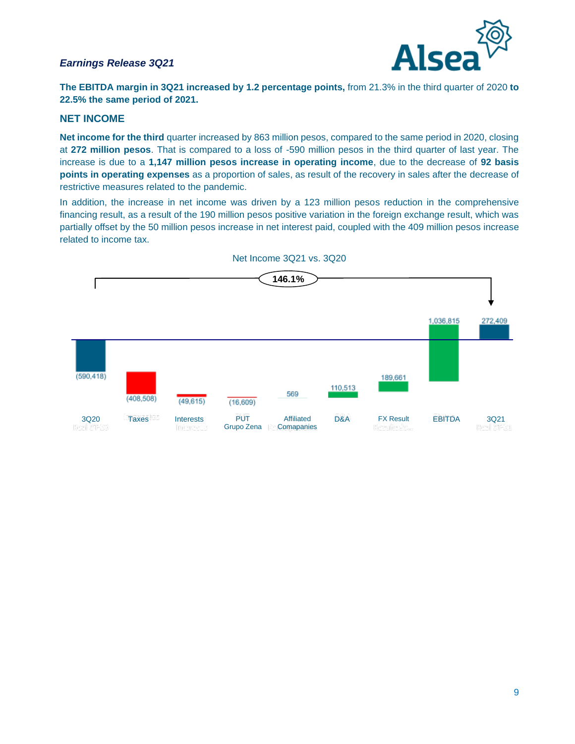

**The EBITDA margin in 3Q21 increased by 1.2 percentage points,** from 21.3% in the third quarter of 2020 **to 22.5% the same period of 2021.**

#### **NET INCOME**

**Net income for the third** quarter increased by 863 million pesos, compared to the same period in 2020, closing at **272 million pesos**. That is compared to a loss of -590 million pesos in the third quarter of last year. The increase is due to a **1,147 million pesos increase in operating income**, due to the decrease of **92 basis points in operating expenses** as a proportion of sales, as result of the recovery in sales after the decrease of restrictive measures related to the pandemic.

In addition, the increase in net income was driven by a 123 million pesos reduction in the comprehensive financing result, as a result of the 190 million pesos positive variation in the foreign exchange result, which was partially offset by the 50 million pesos increase in net interest paid, coupled with the 409 million pesos increase related to income tax.



Net Income 3Q21 vs. 3Q20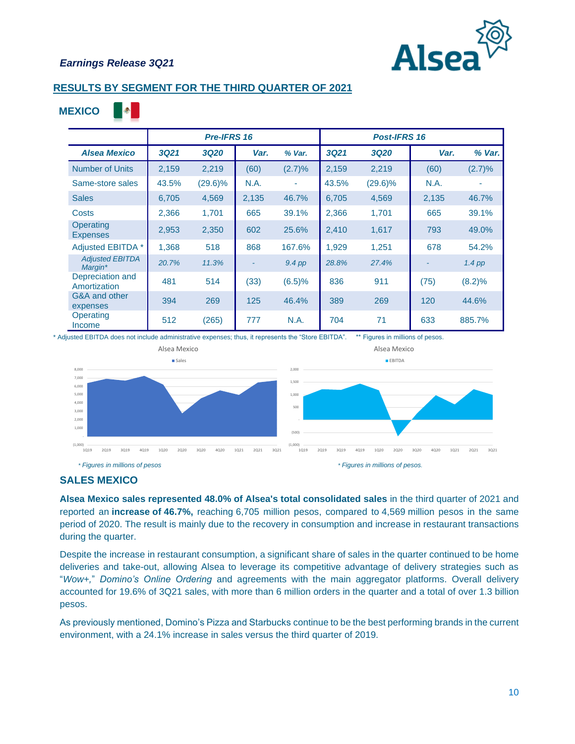

**A** . A

**MEXICO**

#### **RESULTS BY SEGMENT FOR THE THIRD QUARTER OF 2021**

|                                   |             | Pre-IFRS 16 |       |             |             | <b>Post-IFRS 16</b> |       |          |
|-----------------------------------|-------------|-------------|-------|-------------|-------------|---------------------|-------|----------|
| <b>Alsea Mexico</b>               | <b>3Q21</b> | <b>3Q20</b> | Var.  | % Var.      | <b>3Q21</b> | <b>3Q20</b>         | Var.  | % Var.   |
| <b>Number of Units</b>            | 2,159       | 2,219       | (60)  | (2.7)%      | 2,159       | 2,219               | (60)  | (2.7)%   |
| Same-store sales                  | 43.5%       | $(29.6)\%$  | N.A.  |             | 43.5%       | $(29.6)\%$          | N.A.  |          |
| <b>Sales</b>                      | 6,705       | 4,569       | 2,135 | 46.7%       | 6,705       | 4,569               | 2,135 | 46.7%    |
| Costs                             | 2,366       | 1,701       | 665   | 39.1%       | 2,366       | 1,701               | 665   | 39.1%    |
| Operating<br><b>Expenses</b>      | 2,953       | 2,350       | 602   | 25.6%       | 2,410       | 1,617               | 793   | 49.0%    |
| Adjusted EBITDA *                 | 1,368       | 518         | 868   | 167.6%      | 1,929       | 1,251               | 678   | 54.2%    |
| <b>Adjusted EBITDA</b><br>Margin* | 20.7%       | 11.3%       |       | $9.4$ pp    | 28.8%       | 27.4%               |       | $1.4$ pp |
| Depreciation and<br>Amortization  | 481         | 514         | (33)  | (6.5)%      | 836         | 911                 | (75)  | (8.2)%   |
| G&A and other<br>expenses         | 394         | 269         | 125   | 46.4%       | 389         | 269                 | 120   | 44.6%    |
| Operating<br>Income               | 512         | (265)       | 777   | <b>N.A.</b> | 704         | 71                  | 633   | 885.7%   |

\* Adjusted EBITDA does not include administrative expenses; thus, it represents the "Store EBITDA". \*\* Figures in millions of pesos.



#### **SALES MEXICO**

**Alsea Mexico sales represented 48.0% of Alsea's total consolidated sales** in the third quarter of 2021 and reported an **increase of 46.7%,** reaching 6,705 million pesos, compared to 4,569 million pesos in the same period of 2020. The result is mainly due to the recovery in consumption and increase in restaurant transactions during the quarter.

Despite the increase in restaurant consumption, a significant share of sales in the quarter continued to be home deliveries and take-out, allowing Alsea to leverage its competitive advantage of delivery strategies such as "*Wow+,*" *Domino's Online Ordering* and agreements with the main aggregator platforms. Overall delivery accounted for 19.6% of 3Q21 sales, with more than 6 million orders in the quarter and a total of over 1.3 billion pesos.

As previously mentioned, Domino's Pizza and Starbucks continue to be the best performing brands in the current environment, with a 24.1% increase in sales versus the third quarter of 2019.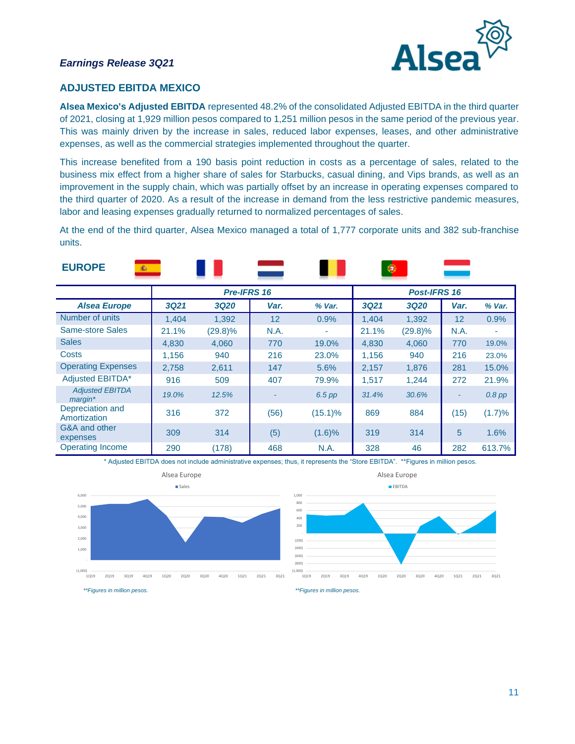

#### **ADJUSTED EBITDA MEXICO**

**Alsea Mexico's Adjusted EBITDA** represented 48.2% of the consolidated Adjusted EBITDA in the third quarter of 2021, closing at 1,929 million pesos compared to 1,251 million pesos in the same period of the previous year. This was mainly driven by the increase in sales, reduced labor expenses, leases, and other administrative expenses, as well as the commercial strategies implemented throughout the quarter.

This increase benefited from a 190 basis point reduction in costs as a percentage of sales, related to the business mix effect from a higher share of sales for Starbucks, casual dining, and Vips brands, as well as an improvement in the supply chain, which was partially offset by an increase in operating expenses compared to the third quarter of 2020. As a result of the increase in demand from the less restrictive pandemic measures, labor and leasing expenses gradually returned to normalized percentages of sales.

At the end of the third quarter, Alsea Mexico managed a total of 1,777 corporate units and 382 sub-franchise units.

| <b>EUROPE</b><br>iÈ.                    |             |             |      |            | ۰           |                     |      |          |
|-----------------------------------------|-------------|-------------|------|------------|-------------|---------------------|------|----------|
|                                         |             | Pre-IFRS 16 |      |            |             | <b>Post-IFRS 16</b> |      |          |
| <b>Alsea Europe</b>                     | <b>3Q21</b> | <b>3Q20</b> | Var. | % Var.     | <b>3Q21</b> | <b>3Q20</b>         | Var. | % Var.   |
| Number of units                         | 1.404       | 1,392       | 12   | 0.9%       | 1,404       | 1,392               | 12   | 0.9%     |
| Same-store Sales                        | 21.1%       | $(29.8)\%$  | N.A. | ۰          | 21.1%       | $(29.8)\%$          | N.A. | ۰        |
| <b>Sales</b>                            | 4,830       | 4,060       | 770  | 19.0%      | 4,830       | 4,060               | 770  | 19.0%    |
| Costs                                   | 1.156       | 940         | 216  | 23.0%      | 1,156       | 940                 | 216  | 23.0%    |
| <b>Operating Expenses</b>               | 2,758       | 2,611       | 147  | 5.6%       | 2,157       | 1,876               | 281  | 15.0%    |
| <b>Adjusted EBITDA*</b>                 | 916         | 509         | 407  | 79.9%      | 1,517       | 1,244               | 272  | 21.9%    |
| <b>Adjusted EBITDA</b><br>$m$ arqin $*$ | 19.0%       | 12.5%       |      | $6.5$ pp   | 31.4%       | 30.6%               |      | $0.8$ pp |
| Depreciation and<br>Amortization        | 316         | 372         | (56) | $(15.1)\%$ | 869         | 884                 | (15) | (1.7)%   |
| G&A and other<br>expenses               | 309         | 314         | (5)  | (1.6)%     | 319         | 314                 | 5    | 1.6%     |
| <b>Operating Income</b>                 | 290         | (178)       | 468  | N.A.       | 328         | 46                  | 282  | 613.7%   |

\* Adjusted EBITDA does not include administrative expenses; thus, it represents the "Store EBITDA". \*\*Figures in million pesos.





 *\*\*Figures in million pesos. \*\*Figures in million pesos.*

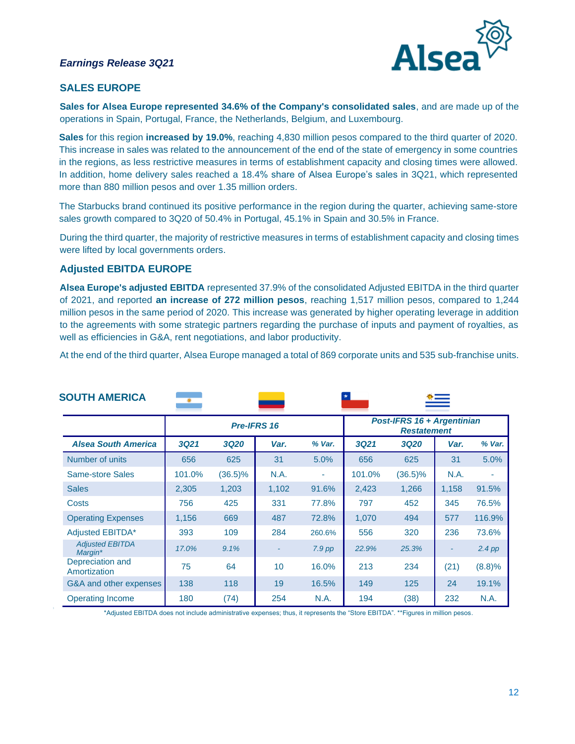

## **SALES EUROPE**

**Sales for Alsea Europe represented 34.6% of the Company's consolidated sales**, and are made up of the operations in Spain, Portugal, France, the Netherlands, Belgium, and Luxembourg.

**Sales** for this region **increased by 19.0%**, reaching 4,830 million pesos compared to the third quarter of 2020. This increase in sales was related to the announcement of the end of the state of emergency in some countries in the regions, as less restrictive measures in terms of establishment capacity and closing times were allowed. In addition, home delivery sales reached a 18.4% share of Alsea Europe's sales in 3Q21, which represented more than 880 million pesos and over 1.35 million orders.

The Starbucks brand continued its positive performance in the region during the quarter, achieving same-store sales growth compared to 3Q20 of 50.4% in Portugal, 45.1% in Spain and 30.5% in France.

During the third quarter, the majority of restrictive measures in terms of establishment capacity and closing times were lifted by local governments orders.

#### **Adjusted EBITDA EUROPE**

**Alsea Europe's adjusted EBITDA** represented 37.9% of the consolidated Adjusted EBITDA in the third quarter of 2021, and reported **an increase of 272 million pesos**, reaching 1,517 million pesos, compared to 1,244 million pesos in the same period of 2020. This increase was generated by higher operating leverage in addition to the agreements with some strategic partners regarding the purchase of inputs and payment of royalties, as well as efficiencies in G&A, rent negotiations, and labor productivity.

At the end of the third quarter, Alsea Europe managed a total of 869 corporate units and 535 sub-franchise units.

| <b>SOUTH AMERICA</b>              |             |             |       |          |                                                  |             |       |          |
|-----------------------------------|-------------|-------------|-------|----------|--------------------------------------------------|-------------|-------|----------|
| Pre-IFRS 16                       |             |             |       |          | Post-IFRS 16 + Argentinian<br><b>Restatement</b> |             |       |          |
| <b>Alsea South America</b>        | <b>3Q21</b> | <b>3Q20</b> | Var.  | % Var.   | <b>3Q21</b>                                      | <b>3Q20</b> | Var.  | % Var.   |
| Number of units                   | 656         | 625         | 31    | 5.0%     | 656                                              | 625         | 31    | 5.0%     |
| Same-store Sales                  | 101.0%      | $(36.5)\%$  | N.A.  | ٠        | 101.0%                                           | $(36.5)\%$  | N.A.  | ٠        |
| <b>Sales</b>                      | 2,305       | 1,203       | 1,102 | 91.6%    | 2,423                                            | 1,266       | 1,158 | 91.5%    |
| <b>Costs</b>                      | 756         | 425         | 331   | 77.8%    | 797                                              | 452         | 345   | 76.5%    |
| <b>Operating Expenses</b>         | 1,156       | 669         | 487   | 72.8%    | 1,070                                            | 494         | 577   | 116.9%   |
| <b>Adjusted EBITDA*</b>           | 393         | 109         | 284   | 260.6%   | 556                                              | 320         | 236   | 73.6%    |
| <b>Adjusted EBITDA</b><br>Margin* | 17.0%       | 9.1%        |       | $7.9$ pp | 22.9%                                            | 25.3%       |       | $2.4$ pp |
| Depreciation and<br>Amortization  | 75          | 64          | 10    | 16.0%    | 213                                              | 234         | (21)  | (8.8)%   |
| G&A and other expenses            | 138         | 118         | 19    | 16.5%    | 149                                              | 125         | 24    | 19.1%    |
| <b>Operating Income</b>           | 180         | (74)        | 254   | N.A.     | 194                                              | (38)        | 232   | N.A.     |

\*Adjusted EBITDA does not include administrative expenses; thus, it represents the "Store EBITDA". \*\*Figures in million pesos.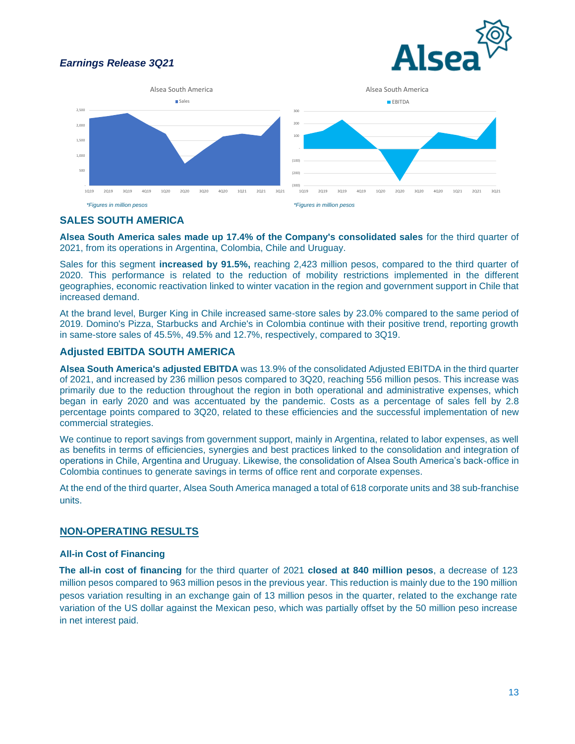





# **SALES SOUTH AMERICA**

**Alsea South America sales made up 17.4% of the Company's consolidated sales** for the third quarter of 2021, from its operations in Argentina, Colombia, Chile and Uruguay.

Sales for this segment **increased by 91.5%**, reaching 2,423 million pesos, compared to the third quarter of 2020. This performance is related to the reduction of mobility restrictions implemented in the different geographies, economic reactivation linked to winter vacation in the region and government support in Chile that increased demand.

At the brand level, Burger King in Chile increased same-store sales by 23.0% compared to the same period of 2019. Domino's Pizza, Starbucks and Archie's in Colombia continue with their positive trend, reporting growth in same-store sales of 45.5%, 49.5% and 12.7%, respectively, compared to 3Q19.

#### **Adjusted EBITDA SOUTH AMERICA**

**Alsea South America's adjusted EBITDA** was 13.9% of the consolidated Adjusted EBITDA in the third quarter of 2021, and increased by 236 million pesos compared to 3Q20, reaching 556 million pesos. This increase was primarily due to the reduction throughout the region in both operational and administrative expenses, which began in early 2020 and was accentuated by the pandemic. Costs as a percentage of sales fell by 2.8 percentage points compared to 3Q20, related to these efficiencies and the successful implementation of new commercial strategies.

We continue to report savings from government support, mainly in Argentina, related to labor expenses, as well as benefits in terms of efficiencies, synergies and best practices linked to the consolidation and integration of operations in Chile, Argentina and Uruguay. Likewise, the consolidation of Alsea South America's back-office in Colombia continues to generate savings in terms of office rent and corporate expenses.

At the end of the third quarter, Alsea South America managed a total of 618 corporate units and 38 sub-franchise units.

#### **NON-OPERATING RESULTS**

#### **All-in Cost of Financing**

**The all-in cost of financing** for the third quarter of 2021 **closed at 840 million pesos**, a decrease of 123 million pesos compared to 963 million pesos in the previous year. This reduction is mainly due to the 190 million pesos variation resulting in an exchange gain of 13 million pesos in the quarter, related to the exchange rate variation of the US dollar against the Mexican peso, which was partially offset by the 50 million peso increase in net interest paid.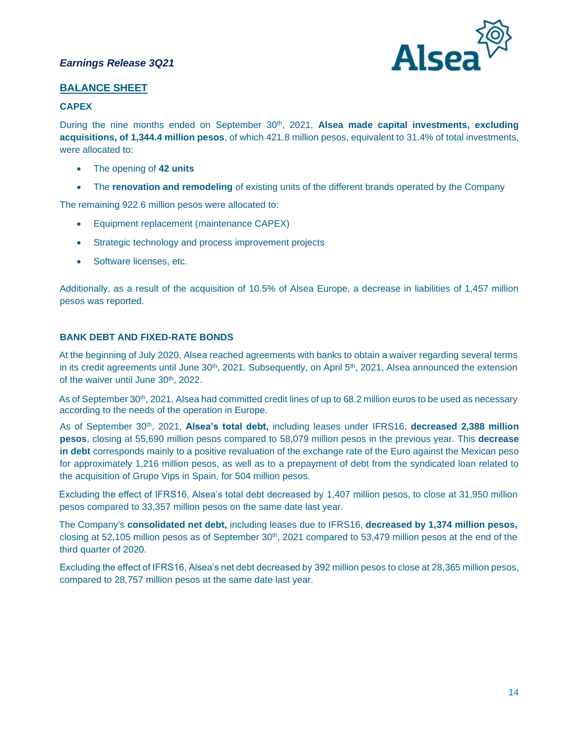

## **BALANCE SHEET**

#### **CAPEX**

During the nine months ended on September 30<sup>th</sup>, 2021, Alsea made capital investments, excluding **acquisitions, of 1,344.4 million pesos**, of which 421.8 million pesos, equivalent to 31.4% of total investments, were allocated to:

- The opening of **42 units**
- The **renovation and remodeling** of existing units of the different brands operated by the Company

The remaining 922.6 million pesos were allocated to:

- Equipment replacement (maintenance CAPEX)
- Strategic technology and process improvement projects
- Software licenses, etc.

Additionally, as a result of the acquisition of 10.5% of Alsea Europe, a decrease in liabilities of 1,457 million pesos was reported.

## **BANK DEBT AND FIXED-RATE BONDS**

At the beginning of July 2020, Alsea reached agreements with banks to obtain a waiver regarding several terms in its credit agreements until June  $30<sup>th</sup>$ , 2021. Subsequently, on April  $5<sup>th</sup>$ , 2021, Alsea announced the extension of the waiver until June 30<sup>th</sup>, 2022.

As of September 30<sup>th</sup>, 2021, Alsea had committed credit lines of up to 68.2 million euros to be used as necessary according to the needs of the operation in Europe.

As of September 30th, 2021, **Alsea's total debt,** including leases under IFRS16, **decreased 2,388 million pesos**, closing at 55,690 million pesos compared to 58,079 million pesos in the previous year. This **decrease in debt** corresponds mainly to a positive revaluation of the exchange rate of the Euro against the Mexican peso for approximately 1,216 million pesos, as well as to a prepayment of debt from the syndicated loan related to the acquisition of Grupo Vips in Spain, for 504 million pesos.

Excluding the effect of IFRS16, Alsea's total debt decreased by 1,407 million pesos, to close at 31,950 million pesos compared to 33,357 million pesos on the same date last year.

The Company's **consolidated net debt,** including leases due to IFRS16, **decreased by 1,374 million pesos,**  closing at 52,105 million pesos as of September  $30<sup>th</sup>$ , 2021 compared to 53,479 million pesos at the end of the third quarter of 2020.

Excluding the effect of IFRS16, Alsea's net debt decreased by 392 million pesos to close at 28,365 million pesos, compared to 28,757 million pesos at the same date last year.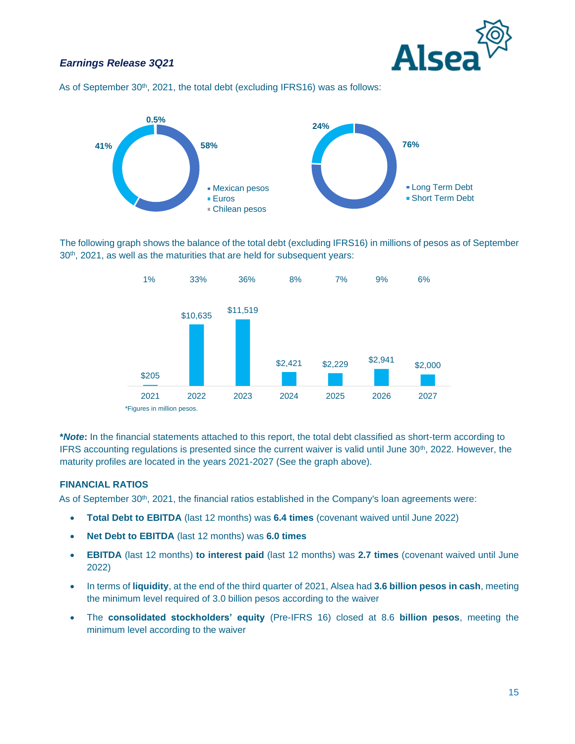

As of September 30<sup>th</sup>, 2021, the total debt (excluding IFRS16) was as follows:



The following graph shows the balance of the total debt (excluding IFRS16) in millions of pesos as of September 30<sup>th</sup>, 2021, as well as the maturities that are held for subsequent years:



**\****Note***:** In the financial statements attached to this report, the total debt classified as short-term according to IFRS accounting regulations is presented since the current waiver is valid until June 30<sup>th</sup>, 2022. However, the maturity profiles are located in the years 2021-2027 (See the graph above).

#### **FINANCIAL RATIOS**

As of September 30<sup>th</sup>, 2021, the financial ratios established in the Company's loan agreements were:

- **Total Debt to EBITDA** (last 12 months) was **6.4 times** (covenant waived until June 2022)
- **Net Debt to EBITDA** (last 12 months) was **6.0 times**
- **EBITDA** (last 12 months) **to interest paid** (last 12 months) was **2.7 times** (covenant waived until June 2022)
- In terms of **liquidity**, at the end of the third quarter of 2021, Alsea had **3.6 billion pesos in cash**, meeting the minimum level required of 3.0 billion pesos according to the waiver
- The **consolidated stockholders' equity** (Pre-IFRS 16) closed at 8.6 **billion pesos**, meeting the minimum level according to the waiver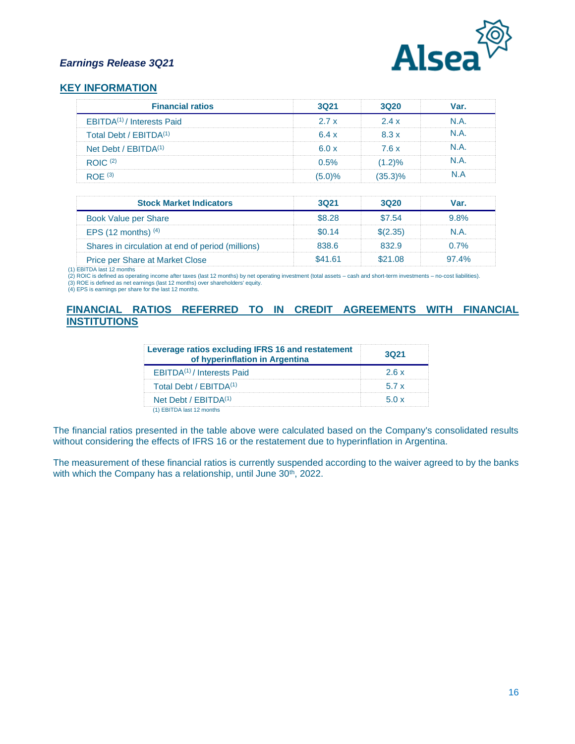

#### **KEY INFORMATION**

| <b>Financial ratios</b>                | 3021   | 3020       | Var. |
|----------------------------------------|--------|------------|------|
| EBITDA <sup>(1)</sup> / Interests Paid | 2.7x   | 2.4x       | N A  |
| Total Debt / FBITDA <sup>(1)</sup>     | 6.4x   | 8.3x       | N A  |
| Net Debt / EBITDA <sup>(1)</sup>       | 6.0x   | 7.6x       | N A  |
| ROIC <sup>(2)</sup>                    | 0.5%   | $(1.2)\%$  | N A  |
| ROF <sup>(3)</sup>                     | (5.0)% | $(35.3)\%$ | N A  |

| <b>Stock Market Indicators</b>                    | 3021    | 3020     | Var.    |
|---------------------------------------------------|---------|----------|---------|
| Book Value per Share                              | \$8.28  | \$7.54   | $9.8\%$ |
| EPS $(12 \text{ months})$ <sup>(4)</sup>          | \$0.14  | \$(2,35) | N.A.    |
| Shares in circulation at end of period (millions) | 838.6   | 832.9    | $0.7\%$ |
| <b>Price per Share at Market Close</b>            | \$41.61 | \$2108   | 974%    |

(1) EBITDA last 12 months (2) ROIC is defined as operating income after taxes (last 12 months) by net operating investment (total assets – cash and short-term investments – no-cost liabilities). (3) ROE is defined as net earnings (last 12 months) over shareholders' equity.

(4) EPS is earnings per share for the last 12 months.

## **FINANCIAL RATIOS REFERRED TO IN CREDIT AGREEMENTS WITH FINANCIAL INSTITUTIONS**

| Leverage ratios excluding IFRS 16 and restatement<br>of hyperinflation in Argentina | 3021 |
|-------------------------------------------------------------------------------------|------|
| EBITDA <sup>(1)</sup> / Interests Paid                                              | 26x  |
| Total Debt / EBITDA <sup>(1)</sup>                                                  | 57 x |
| Net Debt / EBITDA <sup>(1)</sup>                                                    |      |
| <b>EBITDA</b> last 12 months                                                        |      |

The financial ratios presented in the table above were calculated based on the Company's consolidated results without considering the effects of IFRS 16 or the restatement due to hyperinflation in Argentina.

The measurement of these financial ratios is currently suspended according to the waiver agreed to by the banks with which the Company has a relationship, until June 30<sup>th</sup>, 2022.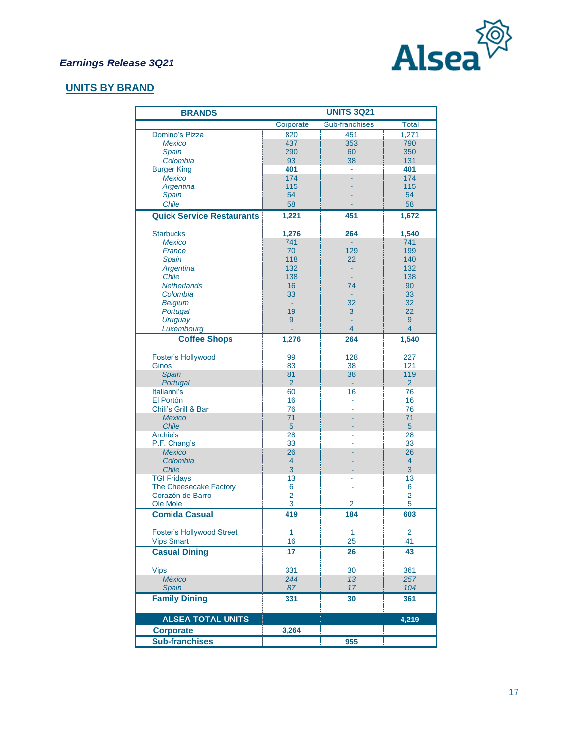

# **UNITS BY BRAND**

| <b>BRANDS</b>                    | <b>UNITS 3Q21</b>    |                      |                       |  |  |
|----------------------------------|----------------------|----------------------|-----------------------|--|--|
|                                  | Corporate            | Sub-franchises       | <b>Total</b>          |  |  |
| Domino's Pizza                   | 820                  | 451                  | 1,271                 |  |  |
| <b>Mexico</b>                    | 437                  | 353                  | 790                   |  |  |
| Spain                            | 290                  | 60                   | 350                   |  |  |
| Colombia                         | 93                   | 38                   | 131                   |  |  |
| <b>Burger King</b>               | 401                  |                      | 401                   |  |  |
| <b>Mexico</b>                    | 174                  |                      | 174                   |  |  |
| Argentina                        | 115                  |                      | 115                   |  |  |
| Spain<br>Chile                   | 54                   |                      | 54                    |  |  |
|                                  | 58                   |                      | 58                    |  |  |
| <b>Quick Service Restaurants</b> | 1,221                | 451                  | 1,672                 |  |  |
| <b>Starbucks</b>                 | 1,276                | 264                  | 1,540                 |  |  |
| <b>Mexico</b>                    | 741                  | ÷,                   | 741                   |  |  |
| France                           | 70                   | 129                  | 199                   |  |  |
| Spain                            | 118                  | 22                   | 140                   |  |  |
| Argentina                        | 132                  |                      | 132                   |  |  |
| Chile                            | 138                  |                      | 138                   |  |  |
| <b>Netherlands</b>               | 16                   | 74                   | 90                    |  |  |
| Colombia                         | 33                   |                      | 33                    |  |  |
| <b>Belgium</b><br>Portugal       | $\sim$<br>19         | 32<br>3              | 32<br>22              |  |  |
| Uruguay                          | 9                    |                      | 9                     |  |  |
| Luxembourg                       |                      | $\overline{4}$       | $\overline{4}$        |  |  |
| <b>Coffee Shops</b>              | 1,276                | 264                  | 1,540                 |  |  |
|                                  |                      |                      |                       |  |  |
| Foster's Hollywood               | 99                   | 128                  | 227                   |  |  |
| Ginos                            | 83                   | 38                   | 121                   |  |  |
| Spain<br>Portugal                | 81<br>$\overline{2}$ | 38<br>$\blacksquare$ | 119<br>$\overline{2}$ |  |  |
| Italianni's                      | 60                   | 16                   | 76                    |  |  |
| El Portón                        | 16                   |                      | 16                    |  |  |
| Chili's Grill & Bar              | 76                   |                      | 76                    |  |  |
| <b>Mexico</b>                    | 71                   |                      | 71                    |  |  |
| <b>Chile</b>                     | $5\phantom{.}$       |                      | $5\phantom{.}$        |  |  |
| Archie's                         | 28                   |                      | 28                    |  |  |
| P.F. Chang's                     | 33                   |                      | 33                    |  |  |
| <b>Mexico</b>                    | 26                   |                      | 26                    |  |  |
| Colombia                         | $\overline{4}$<br>3  |                      | $\overline{4}$<br>3   |  |  |
| Chile<br><b>TGI Fridays</b>      | 13                   |                      | 13                    |  |  |
| The Cheesecake Factory           | 6                    |                      | 6                     |  |  |
| Corazón de Barro                 | $\overline{2}$       |                      | 2                     |  |  |
| Ole Mole                         | 3                    | 2                    | 5                     |  |  |
| <b>Comida Casual</b>             | 419                  | 184                  | 603                   |  |  |
|                                  |                      |                      |                       |  |  |
| <b>Foster's Hollywood Street</b> | $\mathbf{1}$         | $\mathbf{1}$         | 2<br>41               |  |  |
| <b>Vips Smart</b>                | 16                   | 25                   |                       |  |  |
| <b>Casual Dining</b>             | 17                   | 26                   | 43                    |  |  |
| <b>Vips</b>                      | 331                  | 30                   | 361                   |  |  |
| <b>México</b>                    | 244                  | 13                   | 257                   |  |  |
| Spain                            | 87                   | 17                   | 104                   |  |  |
| <b>Family Dining</b>             | 331                  | 30                   | 361                   |  |  |
|                                  |                      |                      |                       |  |  |
| <b>ALSEA TOTAL UNITS</b>         |                      |                      | 4,219                 |  |  |
| <b>Corporate</b>                 | 3,264                |                      |                       |  |  |
| <b>Sub-franchises</b>            |                      | 955                  |                       |  |  |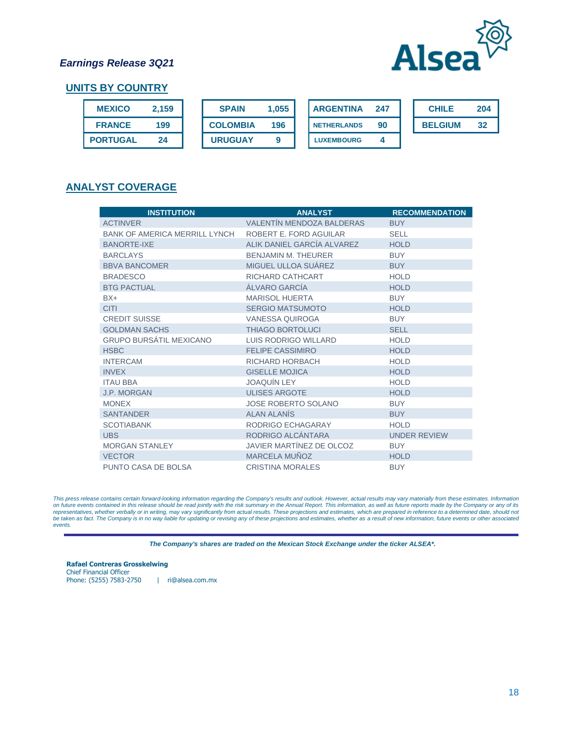

## **UNITS BY COUNTRY**

| <b>MEXICO</b>   | 2.159 | <b>SPAIN</b>    | 1.055 | <b>ARGENTINA</b>   | 247 | <b>CHILE</b>   | 204 |
|-----------------|-------|-----------------|-------|--------------------|-----|----------------|-----|
| <b>FRANCE</b>   | 199   | <b>COLOMBIA</b> | 196   | <b>NETHERLANDS</b> | -90 | <b>BELGIUM</b> | 32  |
| <b>PORTUGAL</b> | 24    | <b>URUGUAY</b>  |       | <b>LUXEMBOURG</b>  |     |                |     |

## **ANALYST COVERAGE**

| <b>INSTITUTION</b>                   | <b>ANALYST</b>                   | <b>RECOMMENDATION</b> |
|--------------------------------------|----------------------------------|-----------------------|
| <b>ACTINVER</b>                      | <b>VALENTÍN MENDOZA BALDERAS</b> | <b>BUY</b>            |
| <b>BANK OF AMERICA MERRILL LYNCH</b> | ROBERT E. FORD AGUILAR           | <b>SELL</b>           |
| <b>BANORTE-IXE</b>                   | ALIK DANIEL GARCÍA ALVAREZ       | <b>HOLD</b>           |
| <b>BARCLAYS</b>                      | <b>BENJAMIN M. THEURER</b>       | <b>BUY</b>            |
| <b>BBVA BANCOMER</b>                 | MIGUEL ULLOA SUÁREZ              | <b>BUY</b>            |
| <b>BRADESCO</b>                      | RICHARD CATHCART                 | <b>HOLD</b>           |
| <b>BTG PACTUAL</b>                   | ÁLVARO GARCÍA                    | <b>HOLD</b>           |
| $BX+$                                | <b>MARISOL HUERTA</b>            | <b>BUY</b>            |
| <b>CITI</b>                          | <b>SERGIO MATSUMOTO</b>          | <b>HOLD</b>           |
| <b>CREDIT SUISSE</b>                 | <b>VANESSA QUIROGA</b>           | <b>BUY</b>            |
| <b>GOLDMAN SACHS</b>                 | <b>THIAGO BORTOLUCI</b>          | <b>SELL</b>           |
| <b>GRUPO BURSÁTIL MEXICANO</b>       | <b>LUIS RODRIGO WILLARD</b>      | <b>HOLD</b>           |
| <b>HSBC</b>                          | <b>FELIPE CASSIMIRO</b>          | <b>HOLD</b>           |
| <b>INTERCAM</b>                      | RICHARD HORBACH                  | <b>HOLD</b>           |
| <b>INVEX</b>                         | <b>GISELLE MOJICA</b>            | <b>HOLD</b>           |
| <b>ITAU BBA</b>                      | <b>JOAQUÍN LEY</b>               | <b>HOLD</b>           |
| <b>J.P. MORGAN</b>                   | <b>ULISES ARGOTE</b>             | <b>HOLD</b>           |
| <b>MONEX</b>                         | <b>JOSE ROBERTO SOLANO</b>       | <b>BUY</b>            |
| <b>SANTANDER</b>                     | <b>ALAN ALANÍS</b>               | <b>BUY</b>            |
| <b>SCOTIABANK</b>                    | RODRIGO ECHAGARAY                | <b>HOLD</b>           |
| <b>UBS</b>                           | RODRIGO ALCÁNTARA                | <b>UNDER REVIEW</b>   |
| <b>MORGAN STANLEY</b>                | JAVIER MARTÍNEZ DE OLCOZ         | <b>BUY</b>            |
| <b>VECTOR</b>                        | MARCELA MUÑOZ                    | <b>HOLD</b>           |
| PUNTO CASA DE BOLSA                  | <b>CRISTINA MORALES</b>          | <b>BUY</b>            |

This press release contains certain forward-looking information regarding the Company's results and outlook. However, actual results may vary materially from these estimates. Information<br>on future events contained in this *events.* 

*The Company's shares are traded on the Mexican Stock Exchange under the ticker ALSEA\*.*

**Rafael Contreras Grosskelwing**  Chief Financial Officer Phone: (5255) 7583-2750 | ri@alsea.com.mx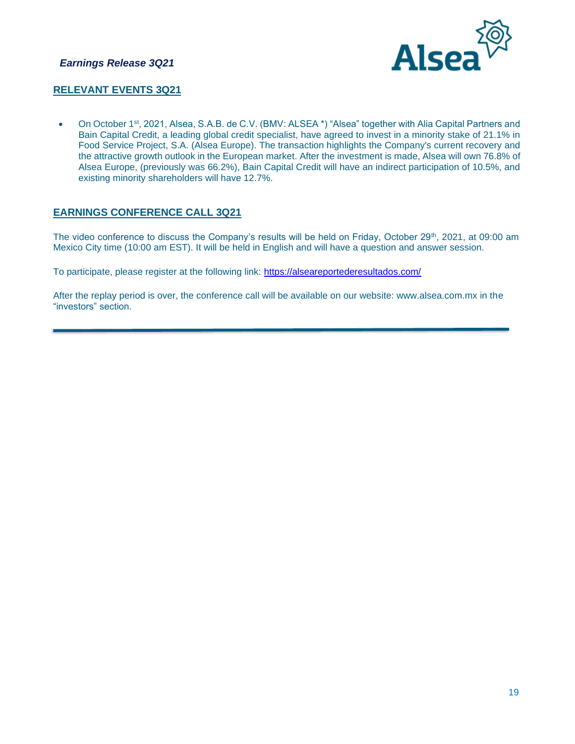

## **RELEVANT EVENTS 3Q21**

• On October 1<sup>st</sup>, 2021, Alsea, S.A.B. de C.V. (BMV: ALSEA \*) "Alsea" together with Alia Capital Partners and Bain Capital Credit, a leading global credit specialist, have agreed to invest in a minority stake of 21.1% in Food Service Project, S.A. (Alsea Europe). The transaction highlights the Company's current recovery and the attractive growth outlook in the European market. After the investment is made, Alsea will own 76.8% of Alsea Europe, (previously was 66.2%), Bain Capital Credit will have an indirect participation of 10.5%, and existing minority shareholders will have 12.7%.

## **EARNINGS CONFERENCE CALL 3Q21**

The video conference to discuss the Company's results will be held on Friday, October 29<sup>th</sup>, 2021, at 09:00 am Mexico City time (10:00 am EST). It will be held in English and will have a question and answer session.

To participate, please register at the following link:<https://alseareportederesultados.com/>

After the replay period is over, the conference call will be available on our website: www.alsea.com.mx in the "investors" section.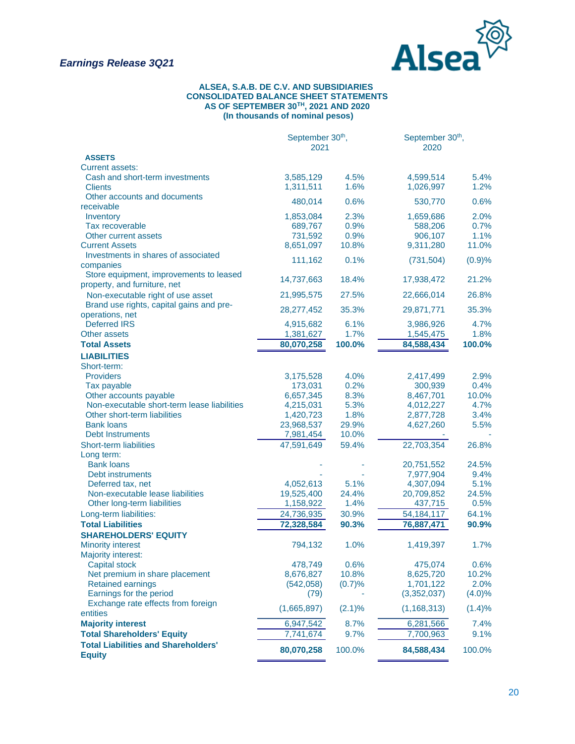

#### **ALSEA, S.A.B. DE C.V. AND SUBSIDIARIES CONSOLIDATED BALANCE SHEET STATEMENTS AS OF SEPTEMBER 30TH, 2021 AND 2020 (In thousands of nominal pesos)**

|                                                             | September 30 <sup>th</sup> ,<br>2021 |           | September 30 <sup>th</sup> ,<br>2020 |           |
|-------------------------------------------------------------|--------------------------------------|-----------|--------------------------------------|-----------|
| <b>ASSETS</b>                                               |                                      |           |                                      |           |
| <b>Current assets:</b>                                      |                                      |           |                                      |           |
| Cash and short-term investments                             | 3,585,129                            | 4.5%      | 4,599,514                            | 5.4%      |
| <b>Clients</b>                                              | 1,311,511                            | 1.6%      | 1,026,997                            | 1.2%      |
| Other accounts and documents                                | 480,014                              | 0.6%      | 530,770                              | 0.6%      |
| receivable                                                  |                                      |           |                                      |           |
| Inventory                                                   | 1,853,084                            | 2.3%      | 1,659,686                            | 2.0%      |
| Tax recoverable                                             | 689,767                              | 0.9%      | 588,206                              | 0.7%      |
| Other current assets                                        | 731,592                              | 0.9%      | 906,107                              | 1.1%      |
| <b>Current Assets</b>                                       | 8,651,097                            | 10.8%     | 9,311,280                            | 11.0%     |
| Investments in shares of associated                         | 111,162                              | 0.1%      | (731, 504)                           | (0.9)%    |
| companies                                                   |                                      |           |                                      |           |
| Store equipment, improvements to leased                     | 14,737,663                           | 18.4%     | 17,938,472                           | 21.2%     |
| property, and furniture, net                                |                                      |           |                                      |           |
| Non-executable right of use asset                           | 21,995,575                           | 27.5%     | 22,666,014                           | 26.8%     |
| Brand use rights, capital gains and pre-                    | 28,277,452                           | 35.3%     | 29,871,771                           | 35.3%     |
| operations, net                                             |                                      |           |                                      |           |
| <b>Deferred IRS</b>                                         | 4,915,682                            | 6.1%      | 3,986,926                            | 4.7%      |
| Other assets                                                | 1,381,627                            | 1.7%      | 1,545,475                            | 1.8%      |
| <b>Total Assets</b>                                         | 80,070,258                           | 100.0%    | 84,588,434                           | 100.0%    |
| <b>LIABILITIES</b>                                          |                                      |           |                                      |           |
| Short-term:                                                 |                                      |           |                                      |           |
| <b>Providers</b>                                            | 3,175,528                            | 4.0%      | 2,417,499                            | 2.9%      |
| Tax payable                                                 | 173,031                              | 0.2%      | 300,939                              | 0.4%      |
| Other accounts payable                                      | 6,657,345                            | 8.3%      | 8,467,701                            | 10.0%     |
| Non-executable short-term lease liabilities                 | 4,215,031                            | 5.3%      | 4,012,227                            | 4.7%      |
| Other short-term liabilities                                | 1,420,723                            | 1.8%      | 2,877,728                            | 3.4%      |
| <b>Bank loans</b>                                           | 23,968,537                           | 29.9%     | 4,627,260                            | 5.5%      |
| <b>Debt Instruments</b>                                     | 7,981,454                            | 10.0%     |                                      |           |
| <b>Short-term liabilities</b>                               | 47,591,649                           | 59.4%     | 22,703,354                           | 26.8%     |
| Long term:                                                  |                                      |           |                                      |           |
| <b>Bank loans</b>                                           |                                      |           | 20,751,552                           | 24.5%     |
| Debt instruments                                            |                                      |           | 7,977,904                            | 9.4%      |
| Deferred tax, net                                           | 4,052,613                            | 5.1%      | 4,307,094                            | 5.1%      |
| Non-executable lease liabilities                            | 19,525,400                           | 24.4%     | 20,709,852                           | 24.5%     |
| Other long-term liabilities                                 | 1,158,922                            | 1.4%      | 437,715                              | 0.5%      |
| Long-term liabilities:                                      | 24,736,935                           | 30.9%     | 54, 184, 117                         | 64.1%     |
| <b>Total Liabilities</b>                                    | 72,328,584                           | 90.3%     | 76,887,471                           | 90.9%     |
| <b>SHAREHOLDERS' EQUITY</b>                                 |                                      |           |                                      |           |
| <b>Minority interest</b>                                    | 794,132                              | 1.0%      | 1,419,397                            | 1.7%      |
| Majority interest:                                          |                                      |           |                                      |           |
| Capital stock                                               | 478,749                              | 0.6%      | 475,074                              | 0.6%      |
| Net premium in share placement                              | 8,676,827                            | 10.8%     | 8,625,720                            | 10.2%     |
| <b>Retained earnings</b>                                    | (542,058)                            | (0.7)%    | 1,701,122                            | 2.0%      |
| Earnings for the period                                     | (79)                                 |           | (3,352,037)                          | $(4.0)\%$ |
| Exchange rate effects from foreign                          |                                      |           |                                      |           |
| entities                                                    | (1,665,897)                          | $(2.1)\%$ | (1, 168, 313)                        | (1.4)%    |
| <b>Majority interest</b>                                    | 6,947,542                            | 8.7%      | 6,281,566                            | 7.4%      |
| <b>Total Shareholders' Equity</b>                           | 7,741,674                            | 9.7%      | 7,700,963                            | 9.1%      |
| <b>Total Liabilities and Shareholders'</b><br><b>Equity</b> | 80,070,258                           | 100.0%    | 84,588,434                           | 100.0%    |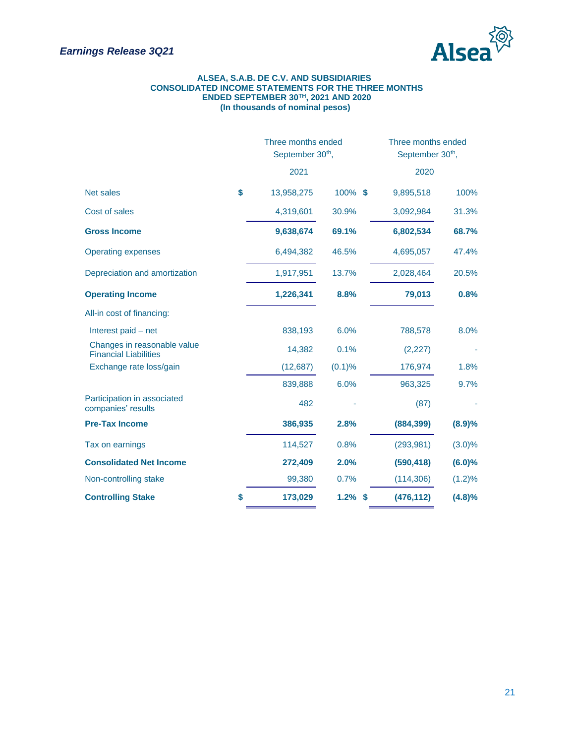

#### **ALSEA, S.A.B. DE C.V. AND SUBSIDIARIES CONSOLIDATED INCOME STATEMENTS FOR THE THREE MONTHS ENDED SEPTEMBER 30TH, 2021 AND 2020 (In thousands of nominal pesos)**

|                                                             | Three months ended<br>September 30 <sup>th</sup> , |            | Three months ended<br>September 30 <sup>th</sup> , |           |  |  |
|-------------------------------------------------------------|----------------------------------------------------|------------|----------------------------------------------------|-----------|--|--|
|                                                             | 2021                                               |            | 2020                                               |           |  |  |
| <b>Net sales</b>                                            | \$<br>13,958,275                                   | 100% \$    | 9,895,518                                          | 100%      |  |  |
| Cost of sales                                               | 4,319,601                                          | 30.9%      | 3,092,984                                          | 31.3%     |  |  |
| <b>Gross Income</b>                                         | 9,638,674                                          | 69.1%      | 6,802,534                                          | 68.7%     |  |  |
| <b>Operating expenses</b>                                   | 6,494,382                                          | 46.5%      | 4,695,057                                          | 47.4%     |  |  |
| Depreciation and amortization                               | 1,917,951                                          | 13.7%      | 2,028,464                                          | 20.5%     |  |  |
| <b>Operating Income</b>                                     | 1,226,341                                          | 8.8%       | 79,013                                             | 0.8%      |  |  |
| All-in cost of financing:                                   |                                                    |            |                                                    |           |  |  |
| Interest paid – net                                         | 838,193                                            | 6.0%       | 788,578                                            | 8.0%      |  |  |
| Changes in reasonable value<br><b>Financial Liabilities</b> | 14,382                                             | 0.1%       | (2, 227)                                           |           |  |  |
| Exchange rate loss/gain                                     | (12, 687)                                          | (0.1)%     | 176,974                                            | 1.8%      |  |  |
|                                                             | 839,888                                            | 6.0%       | 963,325                                            | 9.7%      |  |  |
| Participation in associated<br>companies' results           | 482                                                |            | (87)                                               |           |  |  |
| <b>Pre-Tax Income</b>                                       | 386,935                                            | 2.8%       | (884, 399)                                         | (8.9)%    |  |  |
| Tax on earnings                                             | 114,527                                            | 0.8%       | (293, 981)                                         | $(3.0)\%$ |  |  |
| <b>Consolidated Net Income</b>                              | 272,409                                            | 2.0%       | (590, 418)                                         | (6.0)%    |  |  |
| Non-controlling stake                                       | 99,380                                             | 0.7%       | (114, 306)                                         | (1.2)%    |  |  |
| <b>Controlling Stake</b>                                    | \$<br>173,029                                      | $1.2\%$ \$ | (476, 112)                                         | (4.8)%    |  |  |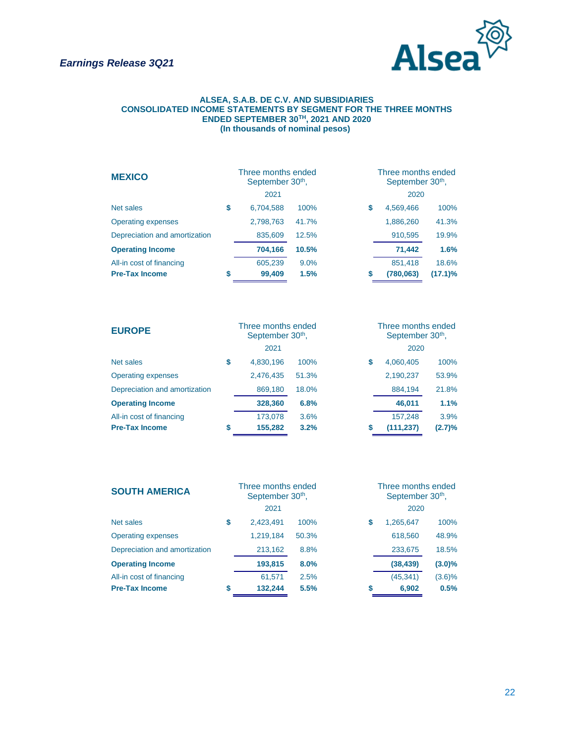

#### **ALSEA, S.A.B. DE C.V. AND SUBSIDIARIES CONSOLIDATED INCOME STATEMENTS BY SEGMENT FOR THE THREE MONTHS ENDED SEPTEMBER 30TH, 2021 AND 2020 (In thousands of nominal pesos)**

| <b>MEXICO</b>                 |    | Three months ended<br>September 30 <sup>th</sup> , |       | Three months ended<br>September 30 <sup>th</sup> , |
|-------------------------------|----|----------------------------------------------------|-------|----------------------------------------------------|
|                               |    | 2021                                               |       | 2020                                               |
| Net sales                     | \$ | 6,704,588                                          | 100%  | 100%<br>\$<br>4,569,466                            |
| <b>Operating expenses</b>     |    | 2,798,763                                          | 41.7% | 1,886,260<br>41.3%                                 |
| Depreciation and amortization |    | 835,609                                            | 12.5% | 910,595<br>19.9%                                   |
| <b>Operating Income</b>       |    | 704,166                                            | 10.5% | 1.6%<br>71,442                                     |
| All-in cost of financing      |    | 605,239                                            | 9.0%  | 851,418<br>18.6%                                   |
| <b>Pre-Tax Income</b>         | S  | 99,409                                             | 1.5%  | $(17.1)\%$<br>S<br>(780,063)                       |

| <b>EUROPE</b>                 | Three months ended<br>September 30 <sup>th</sup> , |       | Three months ended<br>September 30 <sup>th</sup> , |            |        |  |  |
|-------------------------------|----------------------------------------------------|-------|----------------------------------------------------|------------|--------|--|--|
|                               | 2021                                               |       |                                                    | 2020       |        |  |  |
| Net sales                     | \$<br>4,830,196                                    | 100%  | \$                                                 | 4,060,405  | 100%   |  |  |
| <b>Operating expenses</b>     | 2,476,435                                          | 51.3% |                                                    | 2,190,237  | 53.9%  |  |  |
| Depreciation and amortization | 869,180                                            | 18.0% |                                                    | 884,194    | 21.8%  |  |  |
| <b>Operating Income</b>       | 328,360                                            | 6.8%  |                                                    | 46,011     | 1.1%   |  |  |
| All-in cost of financing      | 173,078                                            | 3.6%  |                                                    | 157,248    | 3.9%   |  |  |
| <b>Pre-Tax Income</b>         | \$<br>155,282                                      | 3.2%  | \$                                                 | (111, 237) | (2.7)% |  |  |

| <b>SOUTH AMERICA</b>          |   | Three months ended<br>September 30 <sup>th</sup> , |       |   | Three months ended<br>September 30 <sup>th</sup> , |           |  |  |
|-------------------------------|---|----------------------------------------------------|-------|---|----------------------------------------------------|-----------|--|--|
|                               |   | 2021                                               |       |   | 2020                                               |           |  |  |
| Net sales                     | S | 2,423,491                                          | 100%  | S | 1,265,647                                          | 100%      |  |  |
| <b>Operating expenses</b>     |   | 1,219,184                                          | 50.3% |   | 618,560                                            | 48.9%     |  |  |
| Depreciation and amortization |   | 213,162                                            | 8.8%  |   | 233,675                                            | 18.5%     |  |  |
| <b>Operating Income</b>       |   | 193,815                                            | 8.0%  |   | (38, 439)                                          | $(3.0)\%$ |  |  |
| All-in cost of financing      |   | 61.571                                             | 2.5%  |   | (45, 341)                                          | (3.6)%    |  |  |
| <b>Pre-Tax Income</b>         | S | 132,244                                            | 5.5%  | S | 6,902                                              | 0.5%      |  |  |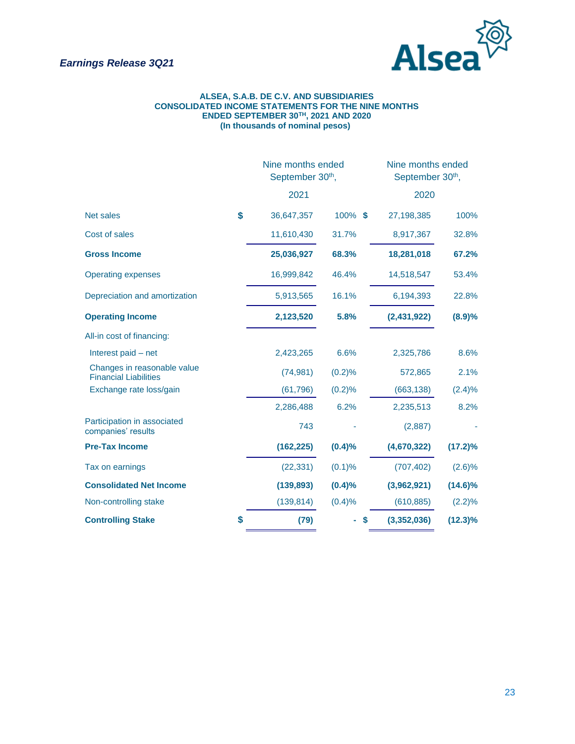

#### **ALSEA, S.A.B. DE C.V. AND SUBSIDIARIES CONSOLIDATED INCOME STATEMENTS FOR THE NINE MONTHS ENDED SEPTEMBER 30TH, 2021 AND 2020 (In thousands of nominal pesos)**

|                                                             |    | Nine months ended<br>September 30th, |         | Nine months ended<br>September 30th, |            |  |  |
|-------------------------------------------------------------|----|--------------------------------------|---------|--------------------------------------|------------|--|--|
|                                                             |    | 2021                                 |         | 2020                                 |            |  |  |
| <b>Net sales</b>                                            | \$ | 36,647,357                           | 100% \$ | 27,198,385                           | 100%       |  |  |
| Cost of sales                                               |    | 11,610,430                           | 31.7%   | 8,917,367                            | 32.8%      |  |  |
| <b>Gross Income</b>                                         |    | 25,036,927                           | 68.3%   | 18,281,018                           | 67.2%      |  |  |
| <b>Operating expenses</b>                                   |    | 16,999,842                           | 46.4%   | 14,518,547                           | 53.4%      |  |  |
| Depreciation and amortization                               |    | 5,913,565                            | 16.1%   | 6,194,393                            | 22.8%      |  |  |
| <b>Operating Income</b>                                     |    | 2,123,520                            | 5.8%    | (2,431,922)                          | (8.9)%     |  |  |
| All-in cost of financing:                                   |    |                                      |         |                                      |            |  |  |
| Interest paid - net                                         |    | 2,423,265                            | 6.6%    | 2,325,786                            | 8.6%       |  |  |
| Changes in reasonable value<br><b>Financial Liabilities</b> |    | (74, 981)                            | (0.2)%  | 572,865                              | 2.1%       |  |  |
| Exchange rate loss/gain                                     |    | (61, 796)                            | (0.2)%  | (663, 138)                           | $(2.4)\%$  |  |  |
|                                                             |    | 2,286,488                            | 6.2%    | 2,235,513                            | 8.2%       |  |  |
| Participation in associated<br>companies' results           |    | 743                                  |         | (2,887)                              |            |  |  |
| <b>Pre-Tax Income</b>                                       |    | (162, 225)                           | (0.4)%  | (4,670,322)                          | $(17.2)\%$ |  |  |
| Tax on earnings                                             |    | (22, 331)                            | (0.1)%  | (707, 402)                           | (2.6)%     |  |  |
| <b>Consolidated Net Income</b>                              |    | (139, 893)                           | (0.4)%  | (3,962,921)                          | $(14.6)\%$ |  |  |
| Non-controlling stake                                       |    | (139, 814)                           | (0.4)%  | (610, 885)                           | $(2.2)\%$  |  |  |
| <b>Controlling Stake</b>                                    |    | (79)<br>S                            |         | (3,352,036)                          | $(12.3)\%$ |  |  |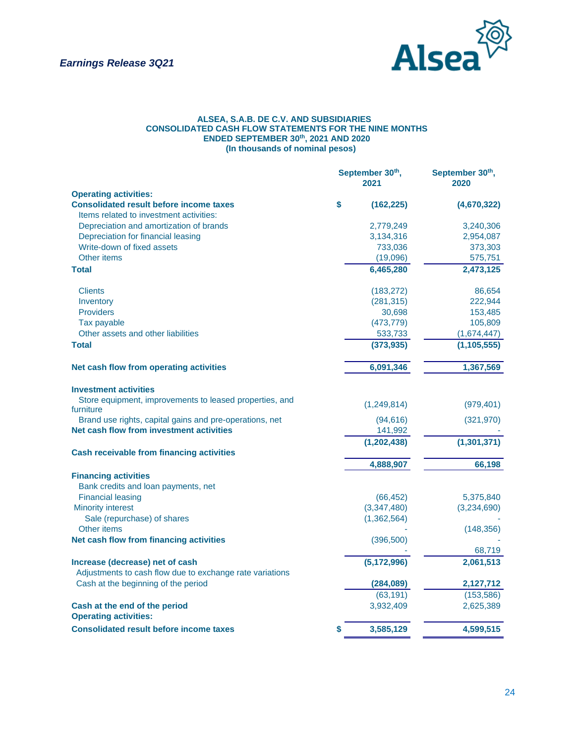

#### **ALSEA, S.A.B. DE C.V. AND SUBSIDIARIES CONSOLIDATED CASH FLOW STATEMENTS FOR THE NINE MONTHS ENDED SEPTEMBER 30th, 2021 AND 2020 (In thousands of nominal pesos)**

|                                                                                                     | September 30th,<br>2021 | September 30th,<br>2020 |  |
|-----------------------------------------------------------------------------------------------------|-------------------------|-------------------------|--|
| <b>Operating activities:</b>                                                                        |                         |                         |  |
| \$<br><b>Consolidated result before income taxes</b>                                                | (162, 225)              | (4,670,322)             |  |
| Items related to investment activities:                                                             |                         |                         |  |
| Depreciation and amortization of brands                                                             | 2,779,249               | 3,240,306               |  |
| Depreciation for financial leasing                                                                  | 3,134,316               | 2,954,087               |  |
| Write-down of fixed assets                                                                          | 733,036                 | 373,303                 |  |
| Other items                                                                                         | (19,096)                | 575,751                 |  |
| <b>Total</b>                                                                                        | 6,465,280               | 2,473,125               |  |
| <b>Clients</b>                                                                                      | (183, 272)              | 86,654                  |  |
| Inventory                                                                                           | (281, 315)              | 222,944                 |  |
| <b>Providers</b>                                                                                    | 30,698                  | 153,485                 |  |
| Tax payable                                                                                         | (473, 779)              | 105,809                 |  |
| Other assets and other liabilities                                                                  | 533,733                 | (1,674,447)             |  |
| <b>Total</b>                                                                                        | (373, 935)              | (1, 105, 555)           |  |
| Net cash flow from operating activities                                                             | 6,091,346               | 1,367,569               |  |
| <b>Investment activities</b>                                                                        |                         |                         |  |
| Store equipment, improvements to leased properties, and                                             | (1,249,814)             | (979, 401)              |  |
| furniture                                                                                           |                         |                         |  |
| Brand use rights, capital gains and pre-operations, net<br>Net cash flow from investment activities | (94, 616)<br>141,992    | (321, 970)              |  |
|                                                                                                     |                         |                         |  |
|                                                                                                     | (1, 202, 438)           | (1, 301, 371)           |  |
| <b>Cash receivable from financing activities</b>                                                    |                         |                         |  |
|                                                                                                     | 4,888,907               | 66,198                  |  |
| <b>Financing activities</b>                                                                         |                         |                         |  |
| Bank credits and loan payments, net<br><b>Financial leasing</b>                                     | (66, 452)               | 5,375,840               |  |
| <b>Minority interest</b>                                                                            | (3,347,480)             | (3,234,690)             |  |
| Sale (repurchase) of shares                                                                         | (1,362,564)             |                         |  |
| Other items                                                                                         |                         | (148, 356)              |  |
| Net cash flow from financing activities                                                             | (396, 500)              |                         |  |
|                                                                                                     |                         | 68,719                  |  |
| Increase (decrease) net of cash                                                                     | (5, 172, 996)           | 2,061,513               |  |
| Adjustments to cash flow due to exchange rate variations                                            |                         |                         |  |
| Cash at the beginning of the period                                                                 | (284, 089)              | 2,127,712               |  |
|                                                                                                     | (63, 191)               | (153, 586)              |  |
| Cash at the end of the period                                                                       | 3,932,409               | 2,625,389               |  |
| <b>Operating activities:</b>                                                                        |                         |                         |  |
| <b>Consolidated result before income taxes</b><br>\$                                                | 3,585,129               | 4,599,515               |  |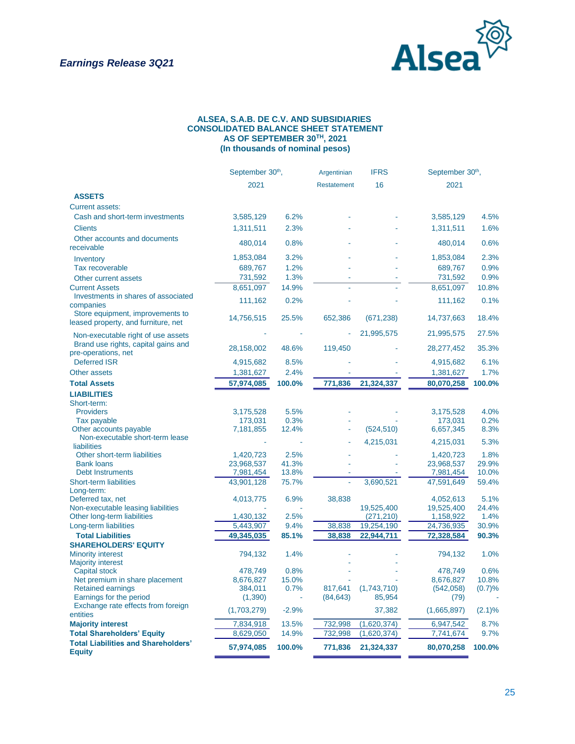

#### **ALSEA, S.A.B. DE C.V. AND SUBSIDIARIES CONSOLIDATED BALANCE SHEET STATEMENT AS OF SEPTEMBER 30TH, 2021 (In thousands of nominal pesos)**

|                                                                         |                        | September 30 <sup>th</sup> , |                    | <b>IFRS</b>              | September 30 <sup>th</sup> , |               |
|-------------------------------------------------------------------------|------------------------|------------------------------|--------------------|--------------------------|------------------------------|---------------|
|                                                                         | 2021                   |                              | <b>Restatement</b> | 16                       | 2021                         |               |
| <b>ASSETS</b>                                                           |                        |                              |                    |                          |                              |               |
| <b>Current assets:</b>                                                  |                        |                              |                    |                          |                              |               |
| Cash and short-term investments                                         | 3,585,129              | 6.2%                         |                    |                          | 3,585,129                    | 4.5%          |
| <b>Clients</b>                                                          | 1,311,511              | 2.3%                         |                    |                          | 1,311,511                    | 1.6%          |
| Other accounts and documents                                            |                        |                              |                    |                          |                              |               |
| receivable                                                              | 480,014                | 0.8%                         |                    |                          | 480,014                      | 0.6%          |
| Inventory                                                               | 1,853,084              | 3.2%                         |                    |                          | 1,853,084                    | 2.3%          |
| Tax recoverable                                                         | 689,767                | 1.2%                         |                    |                          | 689,767                      | 0.9%          |
| Other current assets                                                    | 731,592                | 1.3%                         |                    |                          | 731,592                      | 0.9%          |
| <b>Current Assets</b>                                                   | 8,651,097              | 14.9%                        | L.                 |                          | 8,651,097                    | 10.8%         |
| Investments in shares of associated<br>companies                        | 111,162                | 0.2%                         |                    |                          | 111,162                      | 0.1%          |
| Store equipment, improvements to<br>leased property, and furniture, net | 14,756,515             | 25.5%                        | 652,386            | (671, 238)               | 14,737,663                   | 18.4%         |
| Non-executable right of use assets                                      |                        |                              |                    | 21,995,575               | 21,995,575                   | 27.5%         |
| Brand use rights, capital gains and<br>pre-operations, net              | 28,158,002             | 48.6%                        | 119,450            |                          | 28,277,452                   | 35.3%         |
| <b>Deferred ISR</b>                                                     | 4,915,682              | 8.5%                         |                    |                          | 4,915,682                    | 6.1%          |
| Other assets                                                            | 1,381,627              | 2.4%                         |                    |                          | 1,381,627                    | 1.7%          |
| <b>Total Assets</b>                                                     | 57,974,085             | 100.0%                       | 771,836            | 21,324,337               | 80,070,258                   | 100.0%        |
| <b>LIABILITIES</b>                                                      |                        |                              |                    |                          |                              |               |
| Short-term:                                                             |                        |                              |                    |                          |                              |               |
| <b>Providers</b>                                                        | 3,175,528              | 5.5%                         |                    |                          | 3,175,528                    | 4.0%          |
| Tax payable                                                             | 173,031                | 0.3%                         |                    |                          | 173,031                      | 0.2%          |
| Other accounts payable                                                  | 7,181,855              | 12.4%                        |                    | (524, 510)               | 6,657,345                    | 8.3%          |
| Non-executable short-term lease<br><b>liabilities</b>                   |                        |                              |                    | 4,215,031                | 4,215,031                    | 5.3%          |
| Other short-term liabilities                                            | 1,420,723              | 2.5%                         |                    |                          | 1,420,723                    | 1.8%          |
| <b>Bank loans</b>                                                       | 23,968,537             | 41.3%                        |                    |                          | 23,968,537                   | 29.9%         |
| <b>Debt Instruments</b>                                                 | 7,981,454              | 13.8%                        |                    |                          | 7,981,454                    | 10.0%         |
| <b>Short-term liabilities</b>                                           | 43,901,128             | 75.7%                        |                    | 3,690,521                | 47,591,649                   | 59.4%         |
| Long-term:                                                              |                        |                              |                    |                          |                              |               |
| Deferred tax, net                                                       | 4,013,775              | 6.9%                         | 38,838             |                          | 4,052,613                    | 5.1%          |
| Non-executable leasing liabilities                                      |                        |                              |                    | 19,525,400               | 19,525,400                   | 24.4%         |
| Other long-term liabilities                                             | 1,430,132<br>5,443,907 | 2.5%<br>9.4%                 | 38,838             | (271, 210)<br>19,254,190 | 1,158,922<br>24,736,935      | 1.4%<br>30.9% |
| Long-term liabilities<br><b>Total Liabilities</b>                       | 49,345,035             | 85.1%                        | 38,838             | 22,944,711               | 72,328,584                   | 90.3%         |
| <b>SHAREHOLDERS' EQUITY</b>                                             |                        |                              |                    |                          |                              |               |
| <b>Minority interest</b>                                                | 794,132                | 1.4%                         |                    |                          | 794,132                      | 1.0%          |
| <b>Majority interest</b>                                                |                        |                              |                    |                          |                              |               |
| <b>Capital stock</b>                                                    | 478.749                | 0.8%                         |                    |                          | 478,749                      | 0.6%          |
| Net premium in share placement                                          | 8,676,827              | 15.0%                        |                    |                          | 8,676,827                    | 10.8%         |
| <b>Retained earnings</b>                                                | 384,011                | 0.7%                         | 817,641            | (1,743,710)              | (542,058)                    | (0.7)%        |
| Earnings for the period                                                 | (1,390)                |                              | (84, 643)          | 85,954                   | (79)                         |               |
| Exchange rate effects from foreign<br>entities                          | (1,703,279)            | $-2.9%$                      |                    | 37,382                   | (1,665,897)                  | $(2.1)\%$     |
| <b>Majority interest</b>                                                | 7,834,918              | 13.5%                        | 732,998            | (1,620,374)              | 6,947,542                    | 8.7%          |
| <b>Total Shareholders' Equity</b>                                       | 8,629,050              | 14.9%                        | 732,998            | (1,620,374)              | 7,741,674                    | 9.7%          |
| <b>Total Liabilities and Shareholders'</b><br><b>Equity</b>             | 57,974,085             | 100.0%                       | 771,836            | 21,324,337               | 80,070,258                   | 100.0%        |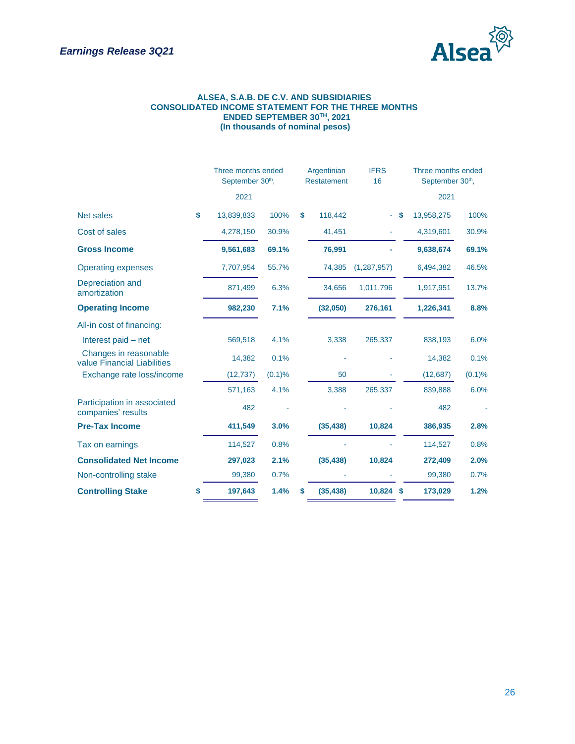

#### **ALSEA, S.A.B. DE C.V. AND SUBSIDIARIES CONSOLIDATED INCOME STATEMENT FOR THE THREE MONTHS ENDED SEPTEMBER 30TH, 2021 (In thousands of nominal pesos)**

|                                                      | Three months ended<br>September 30 <sup>th</sup> , |        |    | Argentinian<br><b>Restatement</b> | <b>IFRS</b><br>16 |   |            | Three months ended<br>September 30 <sup>th</sup> , |  |
|------------------------------------------------------|----------------------------------------------------|--------|----|-----------------------------------|-------------------|---|------------|----------------------------------------------------|--|
|                                                      | 2021                                               |        |    |                                   |                   |   | 2021       |                                                    |  |
| <b>Net sales</b>                                     | \$<br>13,839,833                                   | 100%   | \$ | 118,442                           |                   | S | 13,958,275 | 100%                                               |  |
| Cost of sales                                        | 4,278,150                                          | 30.9%  |    | 41,451                            |                   |   | 4,319,601  | 30.9%                                              |  |
| <b>Gross Income</b>                                  | 9,561,683                                          | 69.1%  |    | 76,991                            |                   |   | 9,638,674  | 69.1%                                              |  |
| <b>Operating expenses</b>                            | 7,707,954                                          | 55.7%  |    | 74,385                            | (1, 287, 957)     |   | 6,494,382  | 46.5%                                              |  |
| Depreciation and<br>amortization                     | 871,499                                            | 6.3%   |    | 34,656                            | 1,011,796         |   | 1,917,951  | 13.7%                                              |  |
| <b>Operating Income</b>                              | 982,230                                            | 7.1%   |    | (32,050)                          | 276,161           |   | 1,226,341  | 8.8%                                               |  |
| All-in cost of financing:                            |                                                    |        |    |                                   |                   |   |            |                                                    |  |
| Interest paid – net                                  | 569,518                                            | 4.1%   |    | 3,338                             | 265,337           |   | 838,193    | 6.0%                                               |  |
| Changes in reasonable<br>value Financial Liabilities | 14,382                                             | 0.1%   |    |                                   |                   |   | 14,382     | 0.1%                                               |  |
| Exchange rate loss/income                            | (12, 737)                                          | (0.1)% |    | 50                                |                   |   | (12, 687)  | (0.1)%                                             |  |
|                                                      | 571,163                                            | 4.1%   |    | 3,388                             | 265,337           |   | 839,888    | 6.0%                                               |  |
| Participation in associated<br>companies' results    | 482                                                |        |    |                                   |                   |   | 482        |                                                    |  |
| <b>Pre-Tax Income</b>                                | 411,549                                            | 3.0%   |    | (35, 438)                         | 10,824            |   | 386,935    | 2.8%                                               |  |
| Tax on earnings                                      | 114,527                                            | 0.8%   |    |                                   |                   |   | 114,527    | 0.8%                                               |  |
| <b>Consolidated Net Income</b>                       | 297,023                                            | 2.1%   |    | (35, 438)                         | 10,824            |   | 272,409    | 2.0%                                               |  |
| Non-controlling stake                                | 99,380                                             | 0.7%   |    |                                   |                   |   | 99,380     | 0.7%                                               |  |
| <b>Controlling Stake</b>                             | \$<br>197,643                                      | 1.4%   | S  | (35, 438)                         | 10,824 \$         |   | 173,029    | 1.2%                                               |  |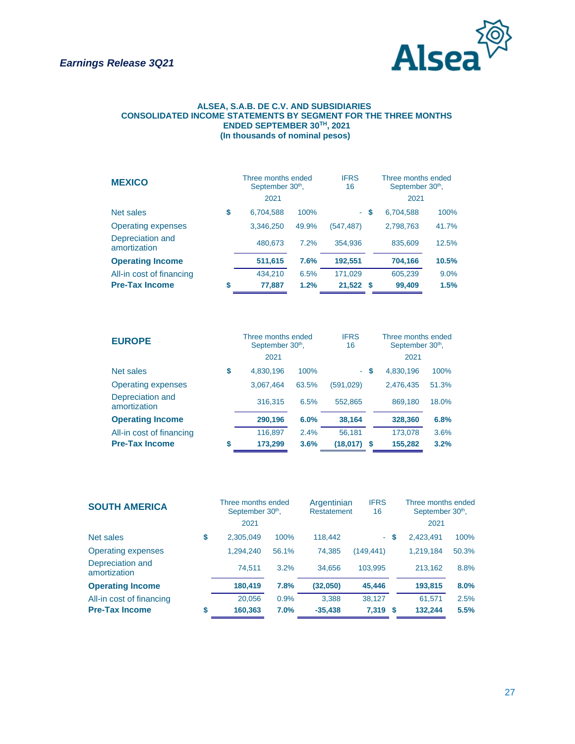

#### **ALSEA, S.A.B. DE C.V. AND SUBSIDIARIES CONSOLIDATED INCOME STATEMENTS BY SEGMENT FOR THE THREE MONTHS ENDED SEPTEMBER 30TH, 2021 (In thousands of nominal pesos)**

| <b>MEXICO</b>                    | Three months ended<br>September 30 <sup>th</sup> , | <b>IFRS</b><br>16 |            | Three months ended<br>September 30 <sup>th</sup> , |           |       |
|----------------------------------|----------------------------------------------------|-------------------|------------|----------------------------------------------------|-----------|-------|
|                                  | 2021                                               |                   |            |                                                    | 2021      |       |
| Net sales                        | \$<br>6,704,588                                    | 100%              |            | - \$                                               | 6,704,588 | 100%  |
| <b>Operating expenses</b>        | 3,346,250                                          | 49.9%             | (547, 487) |                                                    | 2,798,763 | 41.7% |
| Depreciation and<br>amortization | 480.673                                            | 7.2%              | 354,936    |                                                    | 835,609   | 12.5% |
| <b>Operating Income</b>          | 511,615                                            | 7.6%              | 192,551    |                                                    | 704,166   | 10.5% |
| All-in cost of financing         | 434,210                                            | 6.5%              | 171,029    |                                                    | 605,239   | 9.0%  |
| <b>Pre-Tax Income</b>            | \$<br>77,887                                       | 1.2%              | 21,522     | - \$                                               | 99,409    | 1.5%  |

| <b>EUROPE</b>                    | Three months ended<br>September 30 <sup>th</sup> , | <b>IFRS</b><br>16 |            | Three months ended<br>September 30 <sup>th</sup> , |           |       |
|----------------------------------|----------------------------------------------------|-------------------|------------|----------------------------------------------------|-----------|-------|
|                                  | 2021                                               |                   |            |                                                    | 2021      |       |
| Net sales                        | \$<br>4,830,196                                    | 100%              |            | - \$                                               | 4,830,196 | 100%  |
| <b>Operating expenses</b>        | 3,067,464                                          | 63.5%             | (591, 029) |                                                    | 2,476,435 | 51.3% |
| Depreciation and<br>amortization | 316,315                                            | 6.5%              | 552,865    |                                                    | 869.180   | 18.0% |
| <b>Operating Income</b>          | 290,196                                            | 6.0%              | 38,164     |                                                    | 328,360   | 6.8%  |
| All-in cost of financing         | 116,897                                            | 2.4%              | 56,181     |                                                    | 173.078   | 3.6%  |
| <b>Pre-Tax Income</b>            | \$<br>173,299                                      | 3.6%              | (18,017)   | S.                                                 | 155,282   | 3.2%  |

| <b>SOUTH AMERICA</b>             | Three months ended<br>September 30 <sup>th</sup> ,<br>2021 |       | Argentinian<br><b>Restatement</b> | <b>IFRS</b><br>16 |    | Three months ended<br>September 30 <sup>th</sup> ,<br>2021 |       |
|----------------------------------|------------------------------------------------------------|-------|-----------------------------------|-------------------|----|------------------------------------------------------------|-------|
| Net sales                        | \$<br>2,305,049                                            | 100%  | 118,442                           | ÷.                | S. | 2.423.491                                                  | 100%  |
| <b>Operating expenses</b>        | 1,294,240                                                  | 56.1% | 74.385                            | (149, 441)        |    | 1,219,184                                                  | 50.3% |
| Depreciation and<br>amortization | 74.511                                                     | 3.2%  | 34.656                            | 103.995           |    | 213.162                                                    | 8.8%  |
| <b>Operating Income</b>          | 180,419                                                    | 7.8%  | (32,050)                          | 45,446            |    | 193,815                                                    | 8.0%  |
| All-in cost of financing         | 20,056                                                     | 0.9%  | 3,388                             | 38,127            |    | 61,571                                                     | 2.5%  |
| <b>Pre-Tax Income</b>            | \$<br>160,363                                              | 7.0%  | $-35,438$                         | 7,319 \$          |    | 132,244                                                    | 5.5%  |